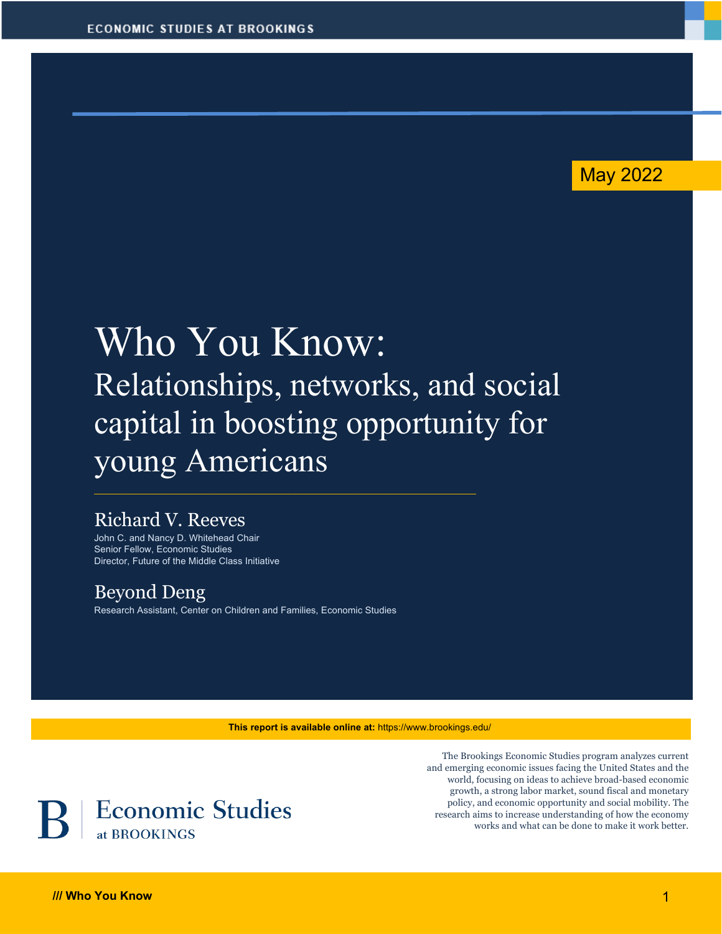

# Who You Know: Relationships, networks, and social capital in boosting opportunity for young Americans

# Richard V. Reeves

John C. and Nancy D. Whitehead Chair Senior Fellow, Economic Studies Director, Future of the Middle Class Initiative

## Beyond Deng

Research Assistant, Center on Children and Families, Economic Studies

**This report is available online at:** https://www.brookings.edu/



The Brookings Economic Studies program analyzes current and emerging economic issues facing the United States and the world, focusing on ideas to achieve broad-based economic growth, a strong labor market, sound fiscal and monetary policy, and economic opportunity and social mobility. The research aims to increase understanding of how the economy works and what can be done to make it work better.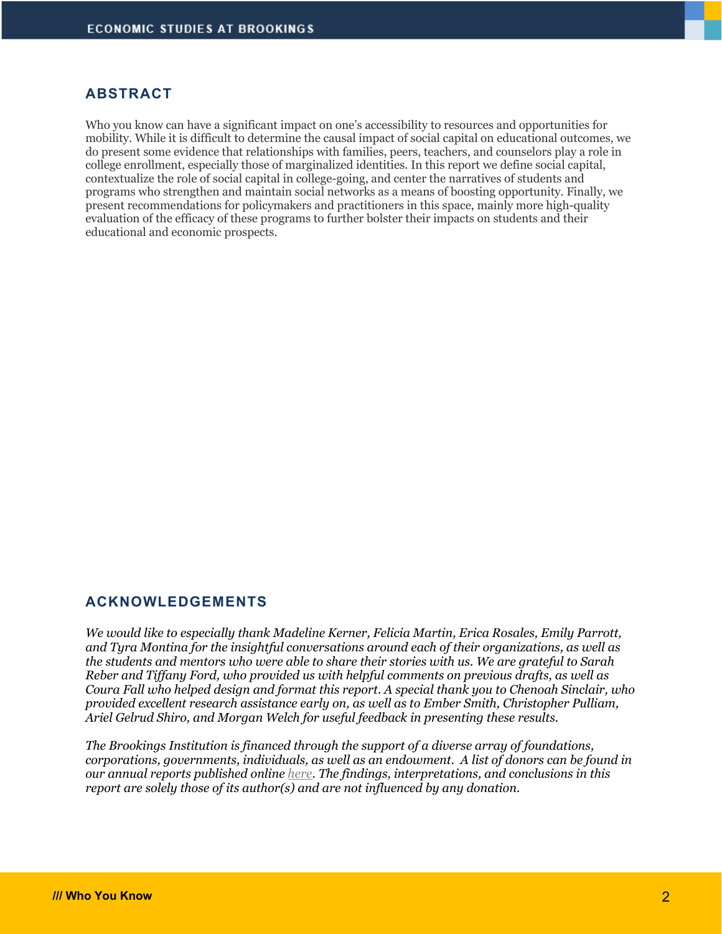#### **ABSTRACT**

Who you know can have a significant impact on one's accessibility to resources and opportunities for mobility. While it is difficult to determine the causal impact of social capital on educational outcomes, we do present some evidence that relationships with families, peers, teachers, and counselors play a role in college enrollment, especially those of marginalized identities. In this report we define social capital, contextualize the role of social capital in college-going, and center the narratives of students and programs who strengthen and maintain social networks as a means of boosting opportunity. Finally, we present recommendations for policymakers and practitioners in this space, mainly more high-quality evaluation of the efficacy of these programs to further bolster their impacts on students and their educational and economic prospects.

#### **ACKNOWLEDGEMENTS**

*We would like to especially thank Madeline Kerner, Felicia Martin, Erica Rosales, Emily Parrott, and Tyra Montina for the insightful conversations around each of their organizations, as well as the students and mentors who were able to share their stories with us. We are grateful to Sarah Reber and Tiffany Ford, who provided us with helpful comments on previous drafts, as well as Coura Fall who helped design and format this report. A special thank you to Chenoah Sinclair, who provided excellent research assistance early on, as well as to Ember Smith, Christopher Pulliam, Ariel Gelrud Shiro, and Morgan Welch for useful feedback in presenting these results.*

*The Brookings Institution is financed through the support of a diverse array of foundations, corporations, governments, individuals, as well as an endowment. A list of donors can be found in our annual reports published online here. The findings, interpretations, and conclusions in this report are solely those of its author(s) and are not influenced by any donation.*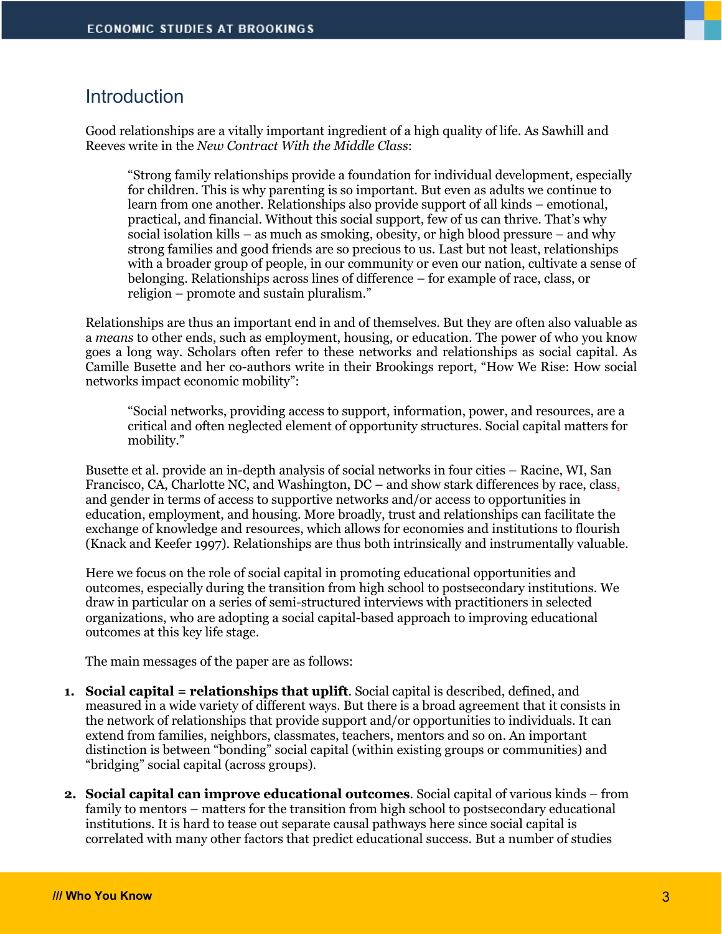## **Introduction**

Good relationships are a vitally important ingredient of a high quality of life. As Sawhill and Reeves write in the *New Contract With the Middle Class*:

"Strong family relationships provide a foundation for individual development, especially for children. This is why parenting is so important. But even as adults we continue to learn from one another. Relationships also provide support of all kinds – emotional, practical, and financial. Without this social support, few of us can thrive. That's why social isolation kills – as much as smoking, obesity, or high blood pressure – and why strong families and good friends are so precious to us. Last but not least, relationships with a broader group of people, in our community or even our nation, cultivate a sense of belonging. Relationships across lines of difference – for example of race, class, or religion – promote and sustain pluralism."

Relationships are thus an important end in and of themselves. But they are often also valuable as a *means* to other ends, such as employment, housing, or education. The power of who you know goes a long way. Scholars often refer to these networks and relationships as social capital. As Camille Busette and her co-authors write in their Brookings report, "How We Rise: How social networks impact economic mobility":

"Social networks, providing access to support, information, power, and resources, are a critical and often neglected element of opportunity structures. Social capital matters for mobility."

Busette et al. provide an in-depth analysis of social networks in four cities – Racine, WI, San Francisco, CA, Charlotte NC, and Washington, DC – and show stark differences by race, class, and gender in terms of access to supportive networks and/or access to opportunities in education, employment, and housing. More broadly, trust and relationships can facilitate the exchange of knowledge and resources, which allows for economies and institutions to flourish (Knack and Keefer 1997). Relationships are thus both intrinsically and instrumentally valuable.

Here we focus on the role of social capital in promoting educational opportunities and outcomes, especially during the transition from high school to postsecondary institutions. We draw in particular on a series of semi-structured interviews with practitioners in selected organizations, who are adopting a social capital-based approach to improving educational outcomes at this key life stage.

The main messages of the paper are as follows:

- **1. Social capital = relationships that uplift**. Social capital is described, defined, and measured in a wide variety of different ways. But there is a broad agreement that it consists in the network of relationships that provide support and/or opportunities to individuals. It can extend from families, neighbors, classmates, teachers, mentors and so on. An important distinction is between "bonding" social capital (within existing groups or communities) and "bridging" social capital (across groups).
- **2. Social capital can improve educational outcomes**. Social capital of various kinds from family to mentors – matters for the transition from high school to postsecondary educational institutions. It is hard to tease out separate causal pathways here since social capital is correlated with many other factors that predict educational success. But a number of studies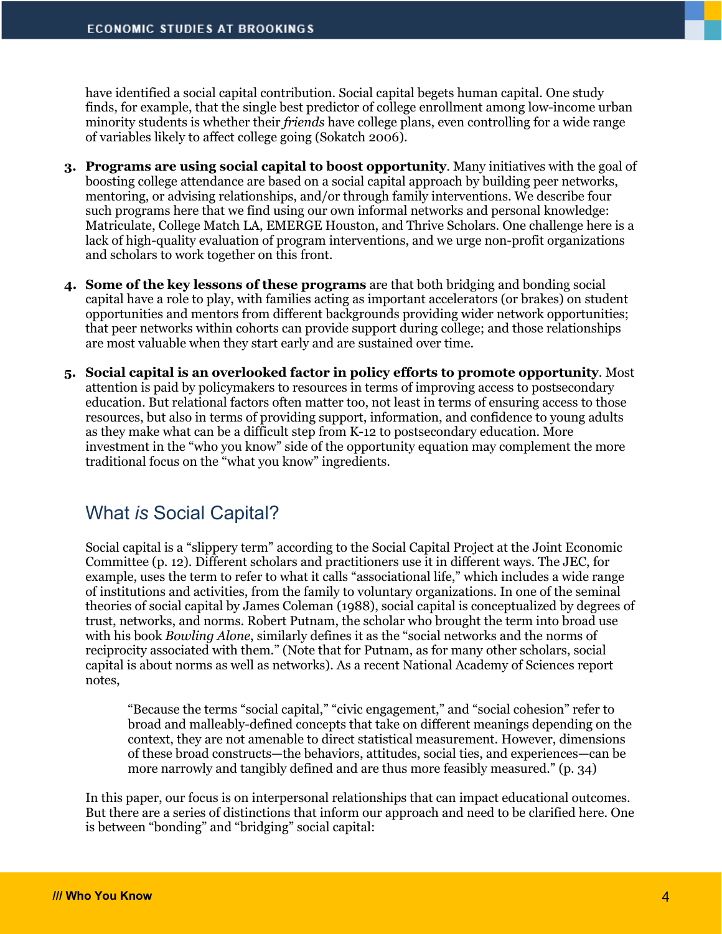have identified a social capital contribution. Social capital begets human capital. One study finds, for example, that the single best predictor of college enrollment among low-income urban minority students is whether their *friends* have college plans, even controlling for a wide range of variables likely to affect college going (Sokatch 2006).

- **3. Programs are using social capital to boost opportunity**. Many initiatives with the goal of boosting college attendance are based on a social capital approach by building peer networks, mentoring, or advising relationships, and/or through family interventions. We describe four such programs here that we find using our own informal networks and personal knowledge: Matriculate, College Match LA, EMERGE Houston, and Thrive Scholars. One challenge here is a lack of high-quality evaluation of program interventions, and we urge non-profit organizations and scholars to work together on this front.
- **4. Some of the key lessons of these programs** are that both bridging and bonding social capital have a role to play, with families acting as important accelerators (or brakes) on student opportunities and mentors from different backgrounds providing wider network opportunities; that peer networks within cohorts can provide support during college; and those relationships are most valuable when they start early and are sustained over time.
- **5. Social capital is an overlooked factor in policy efforts to promote opportunity**. Most attention is paid by policymakers to resources in terms of improving access to postsecondary education. But relational factors often matter too, not least in terms of ensuring access to those resources, but also in terms of providing support, information, and confidence to young adults as they make what can be a difficult step from K-12 to postsecondary education. More investment in the "who you know" side of the opportunity equation may complement the more traditional focus on the "what you know" ingredients.

# What *is* Social Capital?

Social capital is a "slippery term" according to the Social Capital Project at the Joint Economic Committee (p. 12). Different scholars and practitioners use it in different ways. The JEC, for example, uses the term to refer to what it calls "associational life," which includes a wide range of institutions and activities, from the family to voluntary organizations. In one of the seminal theories of social capital by James Coleman (1988), social capital is conceptualized by degrees of trust, networks, and norms. Robert Putnam, the scholar who brought the term into broad use with his book *Bowling Alone*, similarly defines it as the "social networks and the norms of reciprocity associated with them." (Note that for Putnam, as for many other scholars, social capital is about norms as well as networks). As a recent National Academy of Sciences report notes,

"Because the terms "social capital," "civic engagement," and "social cohesion" refer to broad and malleably-defined concepts that take on different meanings depending on the context, they are not amenable to direct statistical measurement. However, dimensions of these broad constructs—the behaviors, attitudes, social ties, and experiences—can be more narrowly and tangibly defined and are thus more feasibly measured." (p. 34)

In this paper, our focus is on interpersonal relationships that can impact educational outcomes. But there are a series of distinctions that inform our approach and need to be clarified here. One is between "bonding" and "bridging" social capital: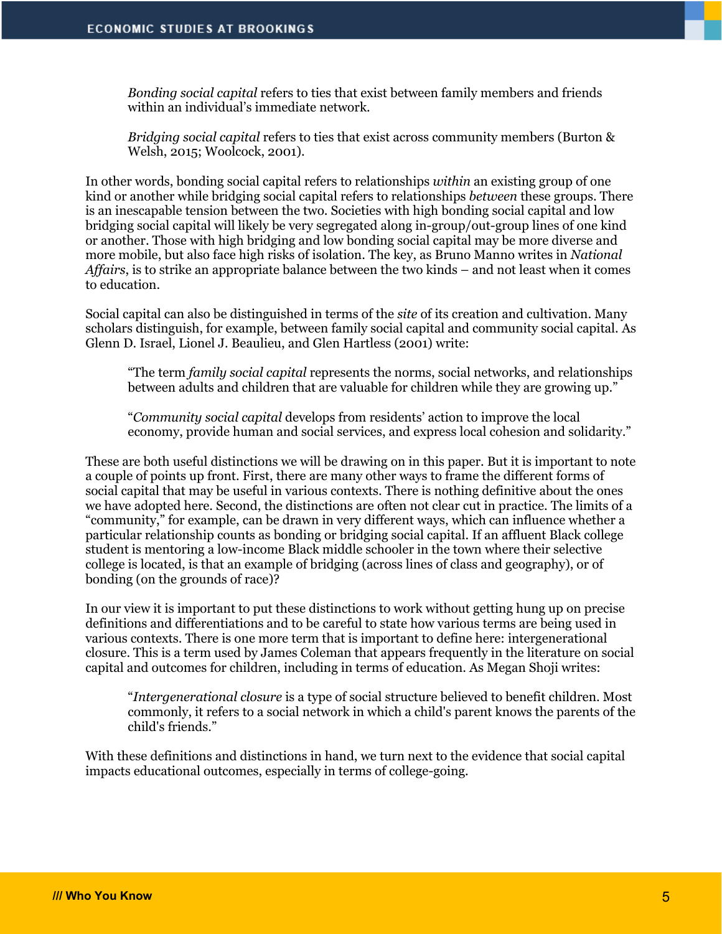*Bonding social capital* refers to ties that exist between family members and friends within an individual's immediate network.

*Bridging social capital* refers to ties that exist across community members (Burton & Welsh, 2015; Woolcock, 2001).

In other words, bonding social capital refers to relationships *within* an existing group of one kind or another while bridging social capital refers to relationships *between* these groups. There is an inescapable tension between the two. Societies with high bonding social capital and low bridging social capital will likely be very segregated along in-group/out-group lines of one kind or another. Those with high bridging and low bonding social capital may be more diverse and more mobile, but also face high risks of isolation. The key, as Bruno Manno writes in *National Affairs*, is to strike an appropriate balance between the two kinds – and not least when it comes to education.

Social capital can also be distinguished in terms of the *site* of its creation and cultivation. Many scholars distinguish, for example, between family social capital and community social capital. As Glenn D. Israel, Lionel J. Beaulieu, and Glen Hartless (2001) write:

"The term *family social capital* represents the norms, social networks, and relationships between adults and children that are valuable for children while they are growing up."

"*Community social capital* develops from residents' action to improve the local economy, provide human and social services, and express local cohesion and solidarity."

These are both useful distinctions we will be drawing on in this paper. But it is important to note a couple of points up front. First, there are many other ways to frame the different forms of social capital that may be useful in various contexts. There is nothing definitive about the ones we have adopted here. Second, the distinctions are often not clear cut in practice. The limits of a "community," for example, can be drawn in very different ways, which can influence whether a particular relationship counts as bonding or bridging social capital. If an affluent Black college student is mentoring a low-income Black middle schooler in the town where their selective college is located, is that an example of bridging (across lines of class and geography), or of bonding (on the grounds of race)?

In our view it is important to put these distinctions to work without getting hung up on precise definitions and differentiations and to be careful to state how various terms are being used in various contexts. There is one more term that is important to define here: intergenerational closure. This is a term used by James Coleman that appears frequently in the literature on social capital and outcomes for children, including in terms of education. As Megan Shoji writes:

"*Intergenerational closure* is a type of social structure believed to benefit children. Most commonly, it refers to a social network in which a child's parent knows the parents of the child's friends."

With these definitions and distinctions in hand, we turn next to the evidence that social capital impacts educational outcomes, especially in terms of college-going.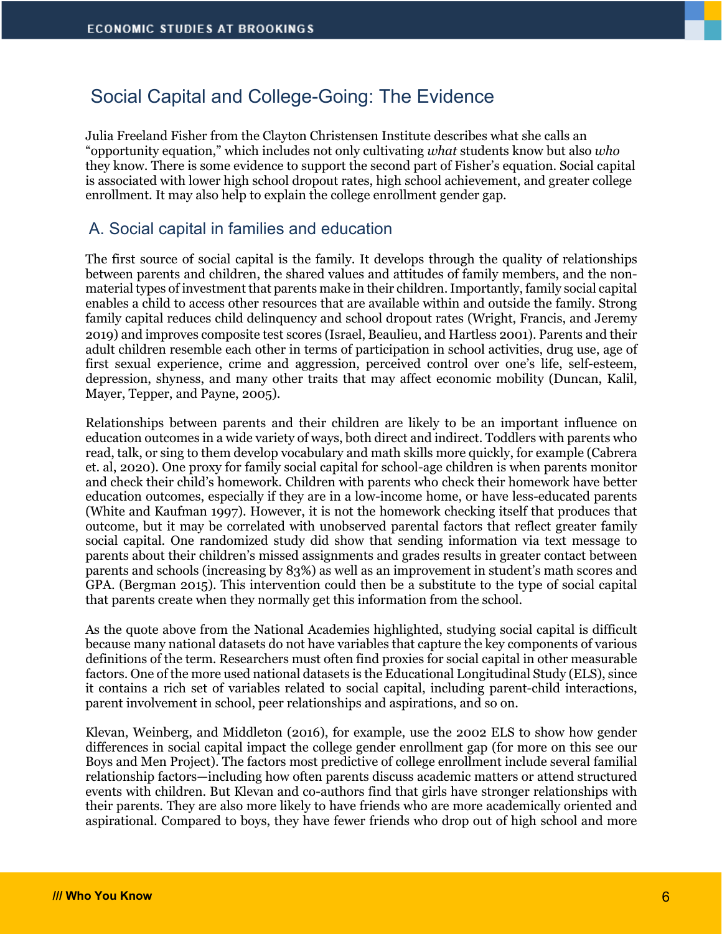# Social Capital and College-Going: The Evidence

Julia Freeland Fisher from the Clayton Christensen Institute describes what she calls an "opportunity equation," which includes not only cultivating *what* students know but also *who* they know. There is some evidence to support the second part of Fisher's equation. Social capital is associated with lower high school dropout rates, high school achievement, and greater college enrollment. It may also help to explain the college enrollment gender gap.

## A. Social capital in families and education

The first source of social capital is the family. It develops through the quality of relationships between parents and children, the shared values and attitudes of family members, and the nonmaterial types of investment that parents make in their children. Importantly, family social capital enables a child to access other resources that are available within and outside the family. Strong family capital reduces child delinquency and school dropout rates (Wright, Francis, and Jeremy 2019) and improves composite test scores (Israel, Beaulieu, and Hartless 2001). Parents and their adult children resemble each other in terms of participation in school activities, drug use, age of first sexual experience, crime and aggression, perceived control over one's life, self-esteem, depression, shyness, and many other traits that may affect economic mobility (Duncan, Kalil, Mayer, Tepper, and Payne, 2005).

Relationships between parents and their children are likely to be an important influence on education outcomes in a wide variety of ways, both direct and indirect. Toddlers with parents who read, talk, or sing to them develop vocabulary and math skills more quickly, for example (Cabrera et. al, 2020). One proxy for family social capital for school-age children is when parents monitor and check their child's homework. Children with parents who check their homework have better education outcomes, especially if they are in a low-income home, or have less-educated parents (White and Kaufman 1997). However, it is not the homework checking itself that produces that outcome, but it may be correlated with unobserved parental factors that reflect greater family social capital. One randomized study did show that sending information via text message to parents about their children's missed assignments and grades results in greater contact between parents and schools (increasing by 83%) as well as an improvement in student's math scores and GPA. (Bergman 2015). This intervention could then be a substitute to the type of social capital that parents create when they normally get this information from the school.

As the quote above from the National Academies highlighted, studying social capital is difficult because many national datasets do not have variables that capture the key components of various definitions of the term. Researchers must often find proxies for social capital in other measurable factors. One of the more used national datasets is the Educational Longitudinal Study (ELS), since it contains a rich set of variables related to social capital, including parent-child interactions, parent involvement in school, peer relationships and aspirations, and so on.

Klevan, Weinberg, and Middleton (2016), for example, use the 2002 ELS to show how gender differences in social capital impact the college gender enrollment gap (for more on this see our Boys and Men Project). The factors most predictive of college enrollment include several familial relationship factors—including how often parents discuss academic matters or attend structured events with children. But Klevan and co-authors find that girls have stronger relationships with their parents. They are also more likely to have friends who are more academically oriented and aspirational. Compared to boys, they have fewer friends who drop out of high school and more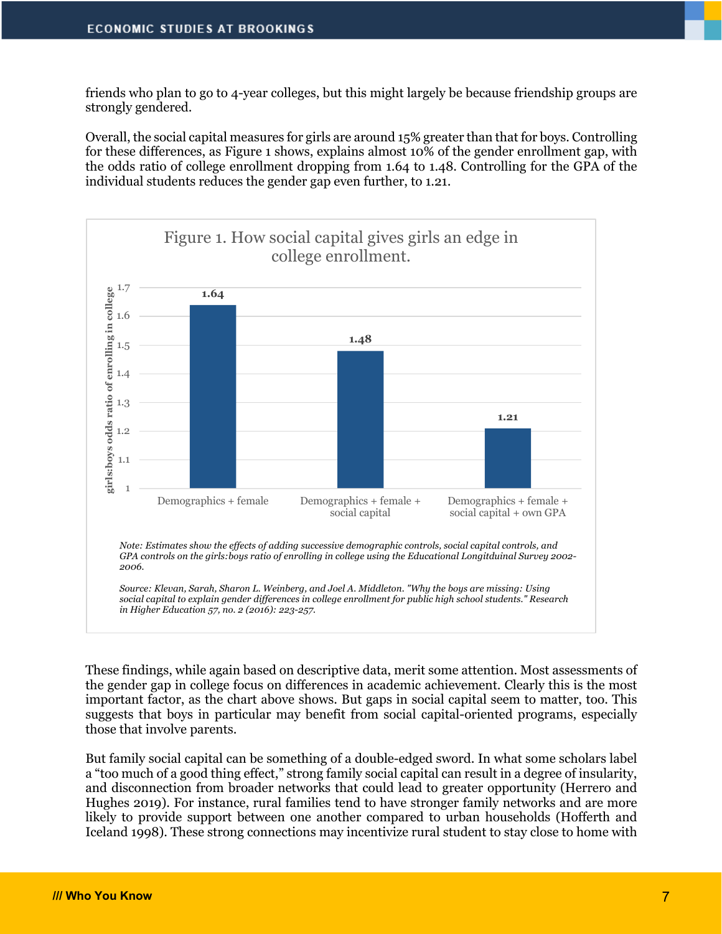friends who plan to go to 4-year colleges, but this might largely be because friendship groups are strongly gendered.

Overall, the social capital measures for girls are around 15% greater than that for boys. Controlling for these differences, as Figure 1 shows, explains almost 10% of the gender enrollment gap, with the odds ratio of college enrollment dropping from 1.64 to 1.48. Controlling for the GPA of the individual students reduces the gender gap even further, to 1.21.



These findings, while again based on descriptive data, merit some attention. Most assessments of the gender gap in college focus on differences in academic achievement. Clearly this is the most important factor, as the chart above shows. But gaps in social capital seem to matter, too. This suggests that boys in particular may benefit from social capital-oriented programs, especially those that involve parents.

But family social capital can be something of a double-edged sword. In what some scholars label a "too much of a good thing effect," strong family social capital can result in a degree of insularity, and disconnection from broader networks that could lead to greater opportunity (Herrero and Hughes 2019). For instance, rural families tend to have stronger family networks and are more likely to provide support between one another compared to urban households (Hofferth and Iceland 1998). These strong connections may incentivize rural student to stay close to home with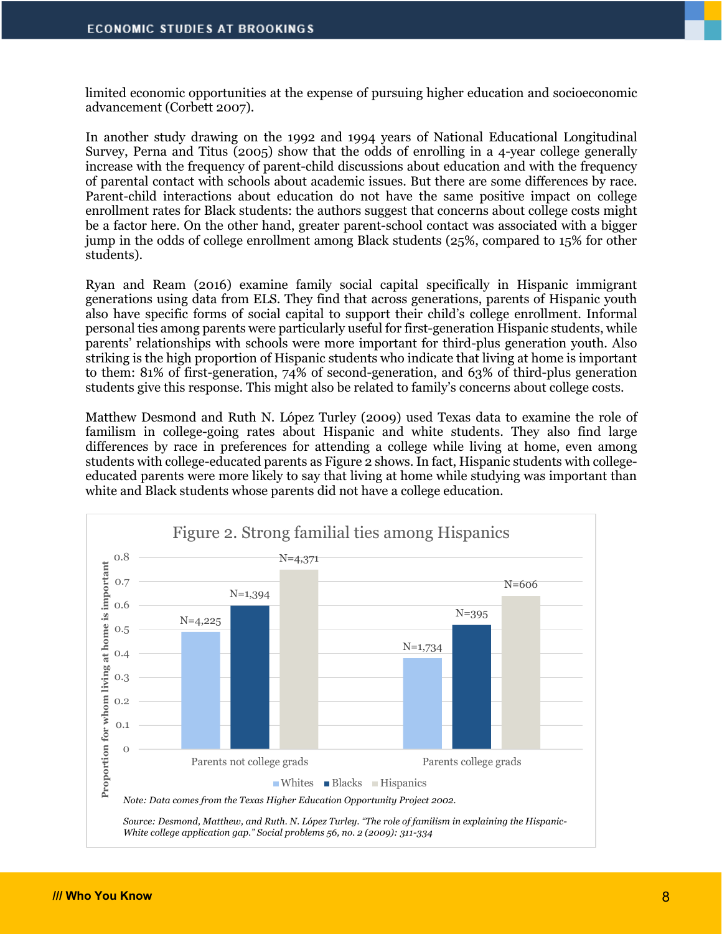limited economic opportunities at the expense of pursuing higher education and socioeconomic advancement (Corbett 2007).

In another study drawing on the 1992 and 1994 years of National Educational Longitudinal Survey, Perna and Titus (2005) show that the odds of enrolling in a 4-year college generally increase with the frequency of parent-child discussions about education and with the frequency of parental contact with schools about academic issues. But there are some differences by race. Parent-child interactions about education do not have the same positive impact on college enrollment rates for Black students: the authors suggest that concerns about college costs might be a factor here. On the other hand, greater parent-school contact was associated with a bigger jump in the odds of college enrollment among Black students (25%, compared to 15% for other students).

Ryan and Ream (2016) examine family social capital specifically in Hispanic immigrant generations using data from ELS. They find that across generations, parents of Hispanic youth also have specific forms of social capital to support their child's college enrollment. Informal personal ties among parents were particularly useful for first-generation Hispanic students, while parents' relationships with schools were more important for third-plus generation youth. Also striking is the high proportion of Hispanic students who indicate that living at home is important to them: 81% of first-generation, 74% of second-generation, and 63% of third-plus generation students give this response. This might also be related to family's concerns about college costs.

Matthew Desmond and Ruth N. López Turley (2009) used Texas data to examine the role of familism in college-going rates about Hispanic and white students. They also find large differences by race in preferences for attending a college while living at home, even among students with college-educated parents as Figure 2 shows. In fact, Hispanic students with collegeeducated parents were more likely to say that living at home while studying was important than white and Black students whose parents did not have a college education.



*Source: Desmond, Matthew, and Ruth. N. López Turley. "The role of familism in explaining the Hispanic-White college application gap." Social problems 56, no. 2 (2009): 311-334*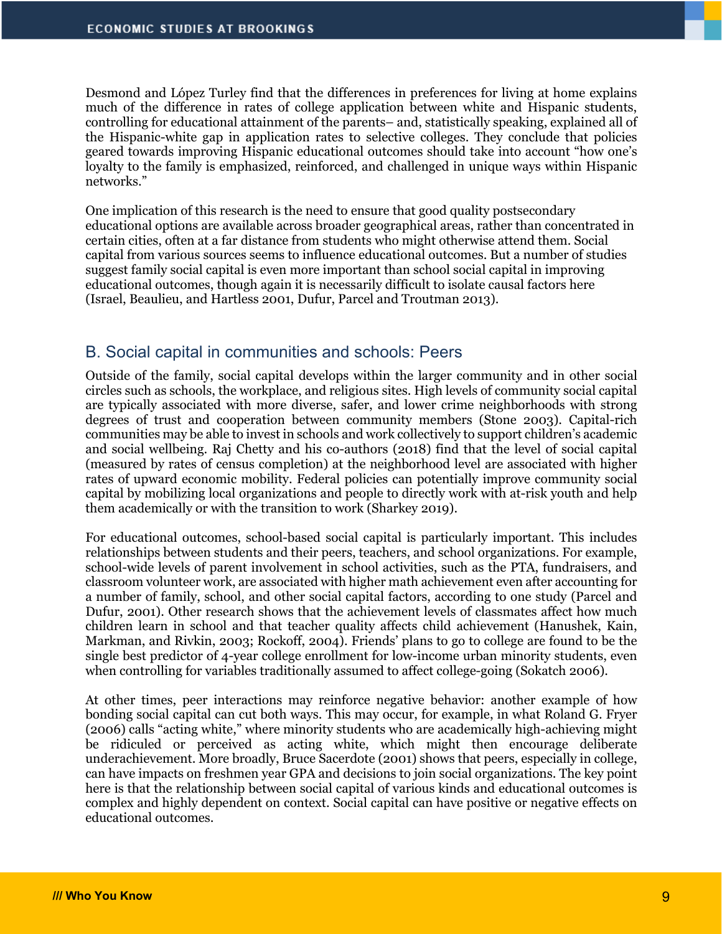Desmond and López Turley find that the differences in preferences for living at home explains much of the difference in rates of college application between white and Hispanic students, controlling for educational attainment of the parents– and, statistically speaking, explained all of the Hispanic-white gap in application rates to selective colleges. They conclude that policies geared towards improving Hispanic educational outcomes should take into account "how one's loyalty to the family is emphasized, reinforced, and challenged in unique ways within Hispanic networks."

One implication of this research is the need to ensure that good quality postsecondary educational options are available across broader geographical areas, rather than concentrated in certain cities, often at a far distance from students who might otherwise attend them. Social capital from various sources seems to influence educational outcomes. But a number of studies suggest family social capital is even more important than school social capital in improving educational outcomes, though again it is necessarily difficult to isolate causal factors here (Israel, Beaulieu, and Hartless 2001, Dufur, Parcel and Troutman 2013).

#### B. Social capital in communities and schools: Peers

Outside of the family, social capital develops within the larger community and in other social circles such as schools, the workplace, and religious sites. High levels of community social capital are typically associated with more diverse, safer, and lower crime neighborhoods with strong degrees of trust and cooperation between community members (Stone 2003). Capital-rich communities may be able to invest in schools and work collectively to support children's academic and social wellbeing. Raj Chetty and his co-authors (2018) find that the level of social capital (measured by rates of census completion) at the neighborhood level are associated with higher rates of upward economic mobility. Federal policies can potentially improve community social capital by mobilizing local organizations and people to directly work with at-risk youth and help them academically or with the transition to work (Sharkey 2019).

For educational outcomes, school-based social capital is particularly important. This includes relationships between students and their peers, teachers, and school organizations. For example, school-wide levels of parent involvement in school activities, such as the PTA, fundraisers, and classroom volunteer work, are associated with higher math achievement even after accounting for a number of family, school, and other social capital factors, according to one study (Parcel and Dufur, 2001). Other research shows that the achievement levels of classmates affect how much children learn in school and that teacher quality affects child achievement (Hanushek, Kain, Markman, and Rivkin, 2003; Rockoff, 2004). Friends' plans to go to college are found to be the single best predictor of 4-year college enrollment for low-income urban minority students, even when controlling for variables traditionally assumed to affect college-going (Sokatch 2006).

At other times, peer interactions may reinforce negative behavior: another example of how bonding social capital can cut both ways. This may occur, for example, in what Roland G. Fryer (2006) calls "acting white," where minority students who are academically high-achieving might be ridiculed or perceived as acting white, which might then encourage deliberate underachievement. More broadly, Bruce Sacerdote (2001) shows that peers, especially in college, can have impacts on freshmen year GPA and decisions to join social organizations. The key point here is that the relationship between social capital of various kinds and educational outcomes is complex and highly dependent on context. Social capital can have positive or negative effects on educational outcomes.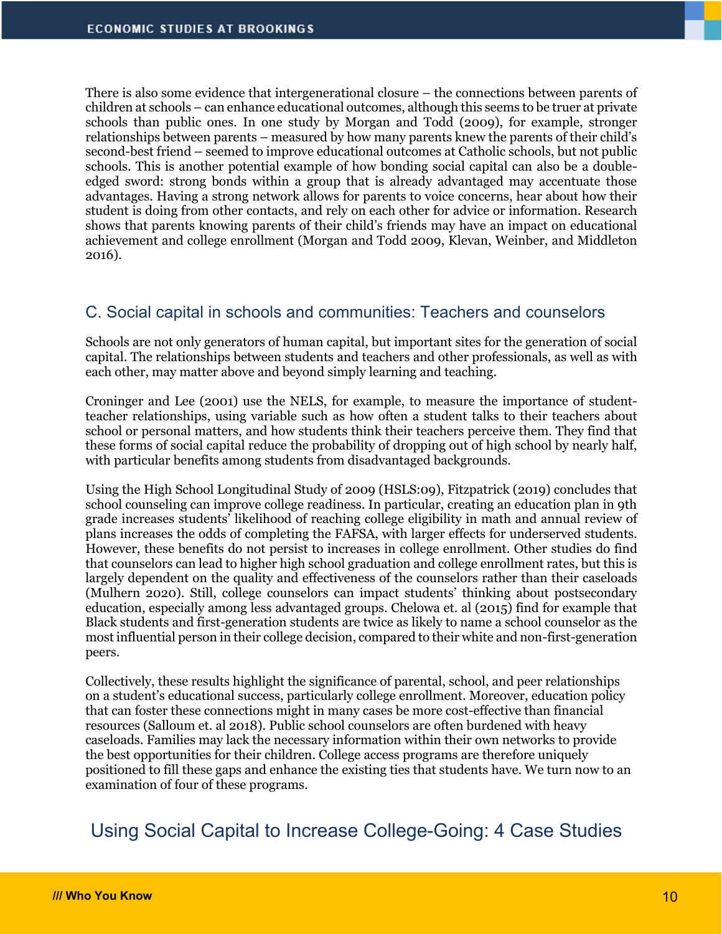There is also some evidence that intergenerational closure – the connections between parents of children at schools – can enhance educational outcomes, although this seems to be truer at private schools than public ones. In one study by Morgan and Todd (2009), for example, stronger relationships between parents – measured by how many parents knew the parents of their child's second-best friend – seemed to improve educational outcomes at Catholic schools, but not public schools. This is another potential example of how bonding social capital can also be a doubleedged sword: strong bonds within a group that is already advantaged may accentuate those advantages. Having a strong network allows for parents to voice concerns, hear about how their student is doing from other contacts, and rely on each other for advice or information. Research shows that parents knowing parents of their child's friends may have an impact on educational achievement and college enrollment (Morgan and Todd 2009, Klevan, Weinber, and Middleton 2016).

## C. Social capital in schools and communities: Teachers and counselors

Schools are not only generators of human capital, but important sites for the generation of social capital. The relationships between students and teachers and other professionals, as well as with each other, may matter above and beyond simply learning and teaching.

Croninger and Lee (2001) use the NELS, for example, to measure the importance of studentteacher relationships, using variable such as how often a student talks to their teachers about school or personal matters, and how students think their teachers perceive them. They find that these forms of social capital reduce the probability of dropping out of high school by nearly half, with particular benefits among students from disadvantaged backgrounds.

Using the High School Longitudinal Study of 2009 (HSLS:09), Fitzpatrick (2019) concludes that school counseling can improve college readiness. In particular, creating an education plan in 9th grade increases students' likelihood of reaching college eligibility in math and annual review of plans increases the odds of completing the FAFSA, with larger effects for underserved students. However, these benefits do not persist to increases in college enrollment. Other studies do find that counselors can lead to higher high school graduation and college enrollment rates, but this is largely dependent on the quality and effectiveness of the counselors rather than their caseloads (Mulhern 2020). Still, college counselors can impact students' thinking about postsecondary education, especially among less advantaged groups. Chelowa et. al (2015) find for example that Black students and first-generation students are twice as likely to name a school counselor as the most influential person in their college decision, compared to their white and non-first-generation peers.

Collectively, these results highlight the significance of parental, school, and peer relationships on a student's educational success, particularly college enrollment. Moreover, education policy that can foster these connections might in many cases be more cost-effective than financial resources (Salloum et. al 2018). Public school counselors are often burdened with heavy caseloads. Families may lack the necessary information within their own networks to provide the best opportunities for their children. College access programs are therefore uniquely positioned to fill these gaps and enhance the existing ties that students have. We turn now to an examination of four of these programs.

Using Social Capital to Increase College-Going: 4 Case Studies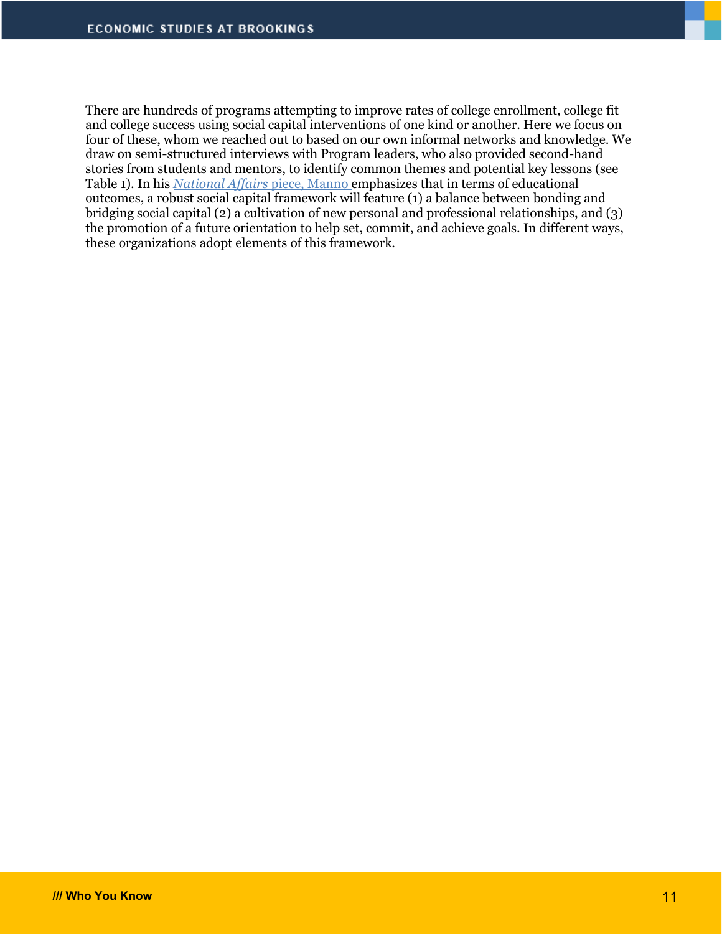There are hundreds of programs attempting to improve rates of college enrollment, college fit and college success using social capital interventions of one kind or another. Here we focus on four of these, whom we reached out to based on our own informal networks and knowledge. We draw on semi-structured interviews with Program leaders, who also provided second-hand stories from students and mentors, to identify common themes and potential key lessons (see Table 1). In his *National Affairs* piece, Manno emphasizes that in terms of educational outcomes, a robust social capital framework will feature (1) a balance between bonding and bridging social capital (2) a cultivation of new personal and professional relationships, and (3) the promotion of a future orientation to help set, commit, and achieve goals. In different ways, these organizations adopt elements of this framework.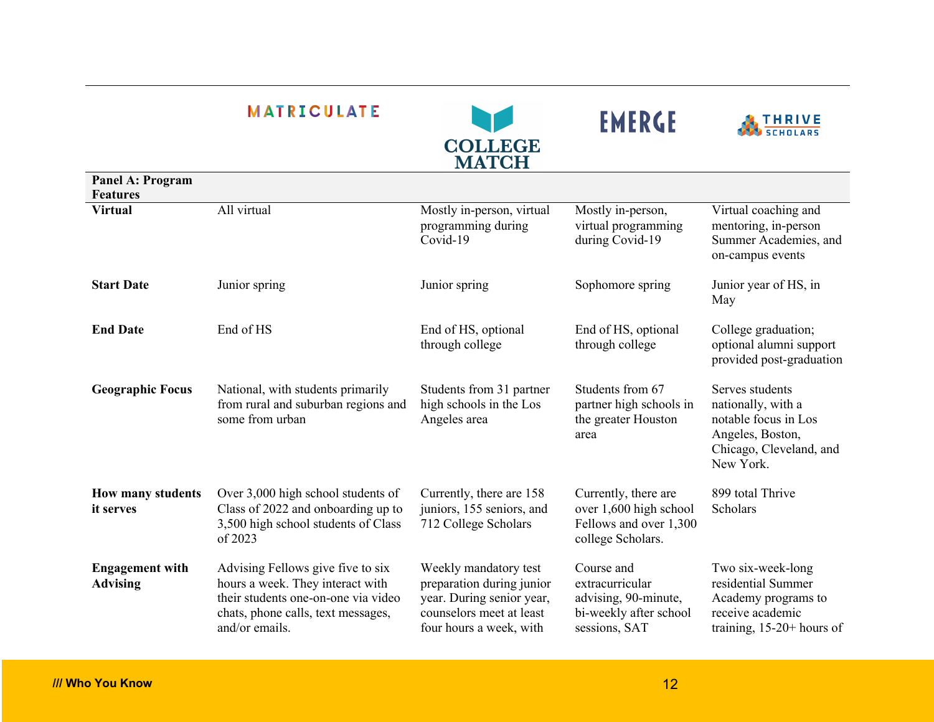|                         | <b>MATRICULATE</b> | <b>COLLEGE</b><br><b>MATCH</b>                              | <b>EMERGE</b>                                               | <b>THRIVE</b><br><b>SCHOLARS</b>                                                      |
|-------------------------|--------------------|-------------------------------------------------------------|-------------------------------------------------------------|---------------------------------------------------------------------------------------|
| <b>Panel A: Program</b> |                    |                                                             |                                                             |                                                                                       |
| <b>Features</b>         |                    |                                                             |                                                             |                                                                                       |
| <b>Virtual</b>          | All virtual        | Mostly in-person, virtual<br>programming during<br>Covid-19 | Mostly in-person,<br>virtual programming<br>during Covid-19 | Virtual coaching and<br>mentoring, in-person<br>Summer Academies,<br>on-campus events |

| <b>Virtual</b>                            | All virtual                                                                                                                                                          | Mostly in-person, virtual<br>programming during<br>Covid-19                                                                            | Mostly in-person,<br>virtual programming<br>during Covid-19                                      | Virtual coaching and<br>mentoring, in-person<br>Summer Academies, and<br>on-campus events                                 |
|-------------------------------------------|----------------------------------------------------------------------------------------------------------------------------------------------------------------------|----------------------------------------------------------------------------------------------------------------------------------------|--------------------------------------------------------------------------------------------------|---------------------------------------------------------------------------------------------------------------------------|
| <b>Start Date</b>                         | Junior spring                                                                                                                                                        | Junior spring                                                                                                                          | Sophomore spring                                                                                 | Junior year of HS, in<br>May                                                                                              |
| <b>End Date</b>                           | End of HS                                                                                                                                                            | End of HS, optional<br>through college                                                                                                 | End of HS, optional<br>through college                                                           | College graduation;<br>optional alumni support<br>provided post-graduation                                                |
| <b>Geographic Focus</b>                   | National, with students primarily<br>from rural and suburban regions and<br>some from urban                                                                          | Students from 31 partner<br>high schools in the Los<br>Angeles area                                                                    | Students from 67<br>partner high schools in<br>the greater Houston<br>area                       | Serves students<br>nationally, with a<br>notable focus in Los<br>Angeles, Boston,<br>Chicago, Cleveland, and<br>New York. |
| How many students<br><i>it serves</i>     | Over 3,000 high school students of<br>Class of 2022 and onboarding up to<br>3,500 high school students of Class<br>of 2023                                           | Currently, there are 158<br>juniors, 155 seniors, and<br>712 College Scholars                                                          | Currently, there are<br>over 1,600 high school<br>Fellows and over 1,300<br>college Scholars.    | 899 total Thrive<br>Scholars                                                                                              |
| <b>Engagement with</b><br><b>Advising</b> | Advising Fellows give five to six<br>hours a week. They interact with<br>their students one-on-one via video<br>chats, phone calls, text messages,<br>and/or emails. | Weekly mandatory test<br>preparation during junior<br>year. During senior year,<br>counselors meet at least<br>four hours a week, with | Course and<br>extracurricular<br>advising, 90-minute,<br>bi-weekly after school<br>sessions, SAT | Two six-week-long<br>residential Summer<br>Academy programs to<br>receive academic<br>training, $15-20+$ hours of         |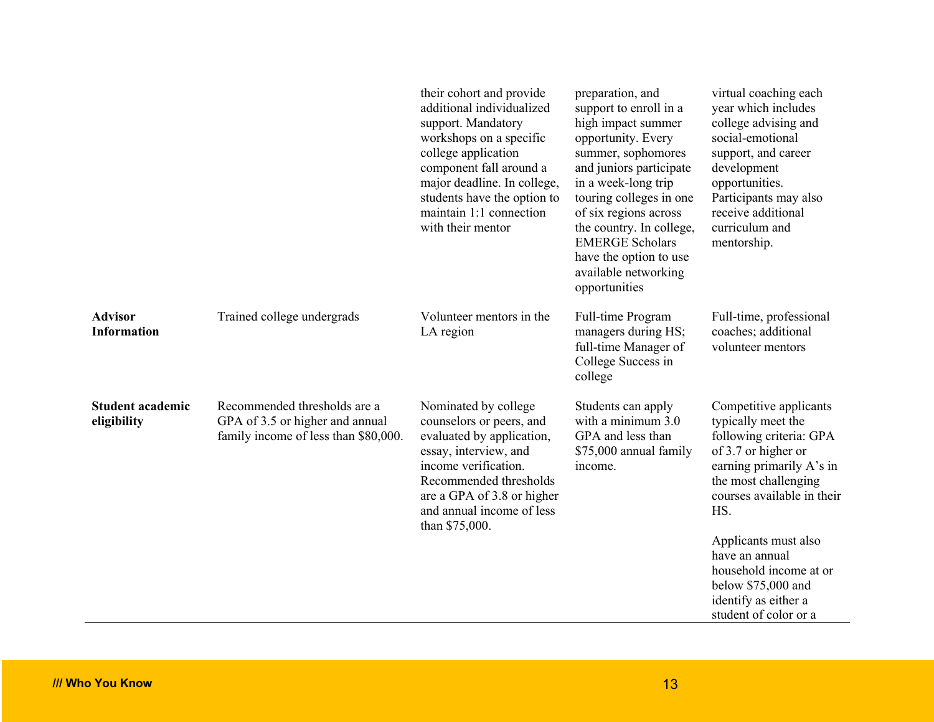|                                        |                                                                                                         | their cohort and provide<br>additional individualized<br>support. Mandatory<br>workshops on a specific<br>college application<br>component fall around a<br>major deadline. In college,<br>students have the option to<br>maintain 1:1 connection<br>with their mentor | preparation, and<br>support to enroll in a<br>high impact summer<br>opportunity. Every<br>summer, sophomores<br>and juniors participate<br>in a week-long trip<br>touring colleges in one<br>of six regions across<br>the country. In college,<br><b>EMERGE Scholars</b><br>have the option to use<br>available networking<br>opportunities | virtual coaching each<br>year which includes<br>college advising and<br>social-emotional<br>support, and career<br>development<br>opportunities.<br>Participants may also<br>receive additional<br>curriculum and<br>mentorship.                                                                                                   |
|----------------------------------------|---------------------------------------------------------------------------------------------------------|------------------------------------------------------------------------------------------------------------------------------------------------------------------------------------------------------------------------------------------------------------------------|---------------------------------------------------------------------------------------------------------------------------------------------------------------------------------------------------------------------------------------------------------------------------------------------------------------------------------------------|------------------------------------------------------------------------------------------------------------------------------------------------------------------------------------------------------------------------------------------------------------------------------------------------------------------------------------|
| <b>Advisor</b><br><b>Information</b>   | Trained college undergrads                                                                              | Volunteer mentors in the<br>LA region                                                                                                                                                                                                                                  | Full-time Program<br>managers during HS;<br>full-time Manager of<br>College Success in<br>college                                                                                                                                                                                                                                           | Full-time, professional<br>coaches; additional<br>volunteer mentors                                                                                                                                                                                                                                                                |
| <b>Student academic</b><br>eligibility | Recommended thresholds are a<br>GPA of 3.5 or higher and annual<br>family income of less than \$80,000. | Nominated by college<br>counselors or peers, and<br>evaluated by application,<br>essay, interview, and<br>income verification.<br>Recommended thresholds<br>are a GPA of 3.8 or higher<br>and annual income of less<br>than \$75,000.                                  | Students can apply<br>with a minimum 3.0<br>GPA and less than<br>\$75,000 annual family<br>income.                                                                                                                                                                                                                                          | Competitive applicants<br>typically meet the<br>following criteria: GPA<br>of 3.7 or higher or<br>earning primarily A's in<br>the most challenging<br>courses available in their<br>HS.<br>Applicants must also<br>have an annual<br>household income at or<br>below \$75,000 and<br>identify as either a<br>student of color or a |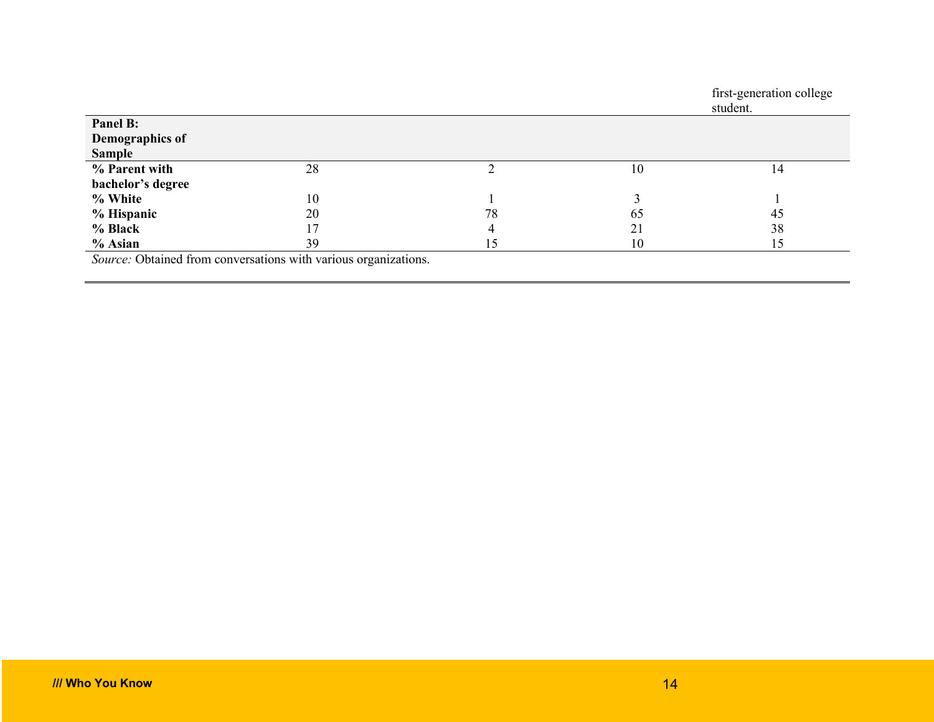|                   |    |    |    | first-generation college<br>student. |
|-------------------|----|----|----|--------------------------------------|
| Panel B:          |    |    |    |                                      |
| Demographics of   |    |    |    |                                      |
| <b>Sample</b>     |    |    |    |                                      |
| % Parent with     | 28 |    | 10 | 14                                   |
| bachelor's degree |    |    |    |                                      |
| % White           | 10 |    |    |                                      |
| % Hispanic        | 20 | 78 | 65 | 45                                   |
| % Black           | 17 | 4  | 21 | 38                                   |
| $%$ Asian<br>.    | 39 | 15 | 10 | 15                                   |

*Source:* Obtained from conversations with various organizations.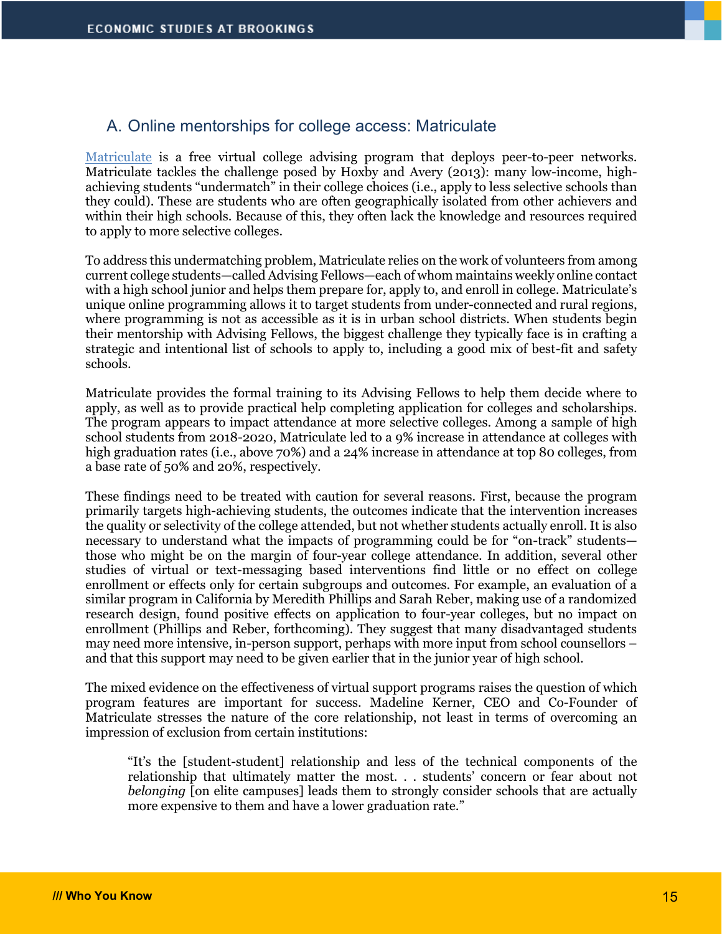#### A. Online mentorships for college access: Matriculate

Matriculate is a free virtual college advising program that deploys peer-to-peer networks. Matriculate tackles the challenge posed by Hoxby and Avery (2013): many low-income, highachieving students "undermatch" in their college choices (i.e., apply to less selective schools than they could). These are students who are often geographically isolated from other achievers and within their high schools. Because of this, they often lack the knowledge and resources required to apply to more selective colleges.

To address this undermatching problem, Matriculate relies on the work of volunteers from among current college students—called Advising Fellows—each of whom maintains weekly online contact with a high school junior and helps them prepare for, apply to, and enroll in college. Matriculate's unique online programming allows it to target students from under-connected and rural regions, where programming is not as accessible as it is in urban school districts. When students begin their mentorship with Advising Fellows, the biggest challenge they typically face is in crafting a strategic and intentional list of schools to apply to, including a good mix of best-fit and safety schools.

Matriculate provides the formal training to its Advising Fellows to help them decide where to apply, as well as to provide practical help completing application for colleges and scholarships. The program appears to impact attendance at more selective colleges. Among a sample of high school students from 2018-2020, Matriculate led to a 9% increase in attendance at colleges with high graduation rates (i.e., above 70%) and a 24% increase in attendance at top 80 colleges, from a base rate of 50% and 20%, respectively.

These findings need to be treated with caution for several reasons. First, because the program primarily targets high-achieving students, the outcomes indicate that the intervention increases the quality or selectivity of the college attended, but not whether students actually enroll. It is also necessary to understand what the impacts of programming could be for "on-track" students those who might be on the margin of four-year college attendance. In addition, several other studies of virtual or text-messaging based interventions find little or no effect on college enrollment or effects only for certain subgroups and outcomes. For example, an evaluation of a similar program in California by Meredith Phillips and Sarah Reber, making use of a randomized research design, found positive effects on application to four-year colleges, but no impact on enrollment (Phillips and Reber, forthcoming). They suggest that many disadvantaged students may need more intensive, in-person support, perhaps with more input from school counsellors – and that this support may need to be given earlier that in the junior year of high school.

The mixed evidence on the effectiveness of virtual support programs raises the question of which program features are important for success. Madeline Kerner, CEO and Co-Founder of Matriculate stresses the nature of the core relationship, not least in terms of overcoming an impression of exclusion from certain institutions:

"It's the [student-student] relationship and less of the technical components of the relationship that ultimately matter the most. . . students' concern or fear about not *belonging* [on elite campuses] leads them to strongly consider schools that are actually more expensive to them and have a lower graduation rate."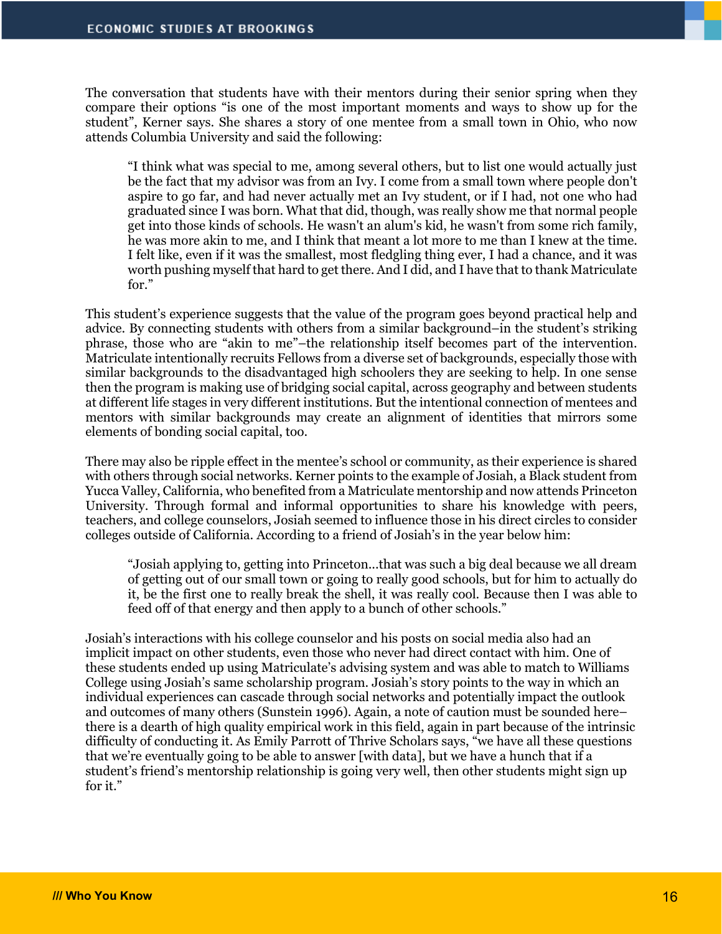The conversation that students have with their mentors during their senior spring when they compare their options "is one of the most important moments and ways to show up for the student", Kerner says. She shares a story of one mentee from a small town in Ohio, who now attends Columbia University and said the following:

"I think what was special to me, among several others, but to list one would actually just be the fact that my advisor was from an Ivy. I come from a small town where people don't aspire to go far, and had never actually met an Ivy student, or if I had, not one who had graduated since I was born. What that did, though, was really show me that normal people get into those kinds of schools. He wasn't an alum's kid, he wasn't from some rich family, he was more akin to me, and I think that meant a lot more to me than I knew at the time. I felt like, even if it was the smallest, most fledgling thing ever, I had a chance, and it was worth pushing myself that hard to get there. And I did, and I have that to thank Matriculate for."

This student's experience suggests that the value of the program goes beyond practical help and advice. By connecting students with others from a similar background–in the student's striking phrase, those who are "akin to me"–the relationship itself becomes part of the intervention. Matriculate intentionally recruits Fellows from a diverse set of backgrounds, especially those with similar backgrounds to the disadvantaged high schoolers they are seeking to help. In one sense then the program is making use of bridging social capital, across geography and between students at different life stages in very different institutions. But the intentional connection of mentees and mentors with similar backgrounds may create an alignment of identities that mirrors some elements of bonding social capital, too.

There may also be ripple effect in the mentee's school or community, as their experience is shared with others through social networks. Kerner points to the example of Josiah, a Black student from Yucca Valley, California, who benefited from a Matriculate mentorship and now attends Princeton University. Through formal and informal opportunities to share his knowledge with peers, teachers, and college counselors, Josiah seemed to influence those in his direct circles to consider colleges outside of California. According to a friend of Josiah's in the year below him:

"Josiah applying to, getting into Princeton...that was such a big deal because we all dream of getting out of our small town or going to really good schools, but for him to actually do it, be the first one to really break the shell, it was really cool. Because then I was able to feed off of that energy and then apply to a bunch of other schools."

Josiah's interactions with his college counselor and his posts on social media also had an implicit impact on other students, even those who never had direct contact with him. One of these students ended up using Matriculate's advising system and was able to match to Williams College using Josiah's same scholarship program. Josiah's story points to the way in which an individual experiences can cascade through social networks and potentially impact the outlook and outcomes of many others (Sunstein 1996). Again, a note of caution must be sounded here– there is a dearth of high quality empirical work in this field, again in part because of the intrinsic difficulty of conducting it. As Emily Parrott of Thrive Scholars says, "we have all these questions that we're eventually going to be able to answer [with data], but we have a hunch that if a student's friend's mentorship relationship is going very well, then other students might sign up for it."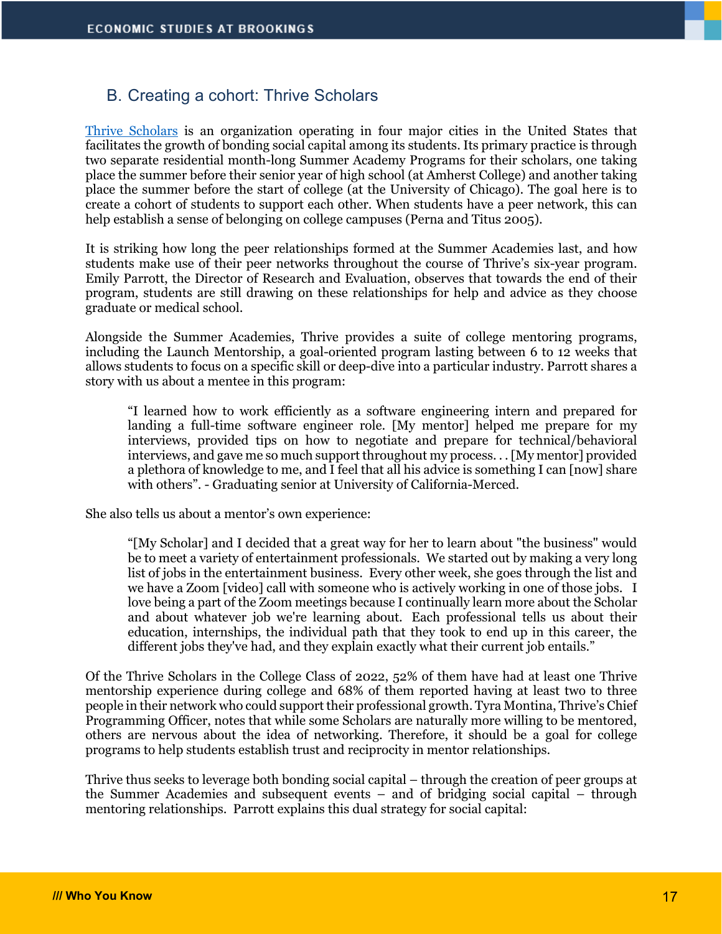### B. Creating a cohort: Thrive Scholars

Thrive Scholars is an organization operating in four major cities in the United States that facilitates the growth of bonding social capital among its students. Its primary practice is through two separate residential month-long Summer Academy Programs for their scholars, one taking place the summer before their senior year of high school (at Amherst College) and another taking place the summer before the start of college (at the University of Chicago). The goal here is to create a cohort of students to support each other. When students have a peer network, this can help establish a sense of belonging on college campuses (Perna and Titus 2005).

It is striking how long the peer relationships formed at the Summer Academies last, and how students make use of their peer networks throughout the course of Thrive's six-year program. Emily Parrott, the Director of Research and Evaluation, observes that towards the end of their program, students are still drawing on these relationships for help and advice as they choose graduate or medical school.

Alongside the Summer Academies, Thrive provides a suite of college mentoring programs, including the Launch Mentorship, a goal-oriented program lasting between 6 to 12 weeks that allows students to focus on a specific skill or deep-dive into a particular industry. Parrott shares a story with us about a mentee in this program:

"I learned how to work efficiently as a software engineering intern and prepared for landing a full-time software engineer role. [My mentor] helped me prepare for my interviews, provided tips on how to negotiate and prepare for technical/behavioral interviews, and gave me so much support throughout my process. . . [My mentor] provided a plethora of knowledge to me, and I feel that all his advice is something I can [now] share with others". - Graduating senior at University of California-Merced.

She also tells us about a mentor's own experience:

"[My Scholar] and I decided that a great way for her to learn about "the business" would be to meet a variety of entertainment professionals. We started out by making a very long list of jobs in the entertainment business. Every other week, she goes through the list and we have a Zoom [video] call with someone who is actively working in one of those jobs. I love being a part of the Zoom meetings because I continually learn more about the Scholar and about whatever job we're learning about. Each professional tells us about their education, internships, the individual path that they took to end up in this career, the different jobs they've had, and they explain exactly what their current job entails."

Of the Thrive Scholars in the College Class of 2022, 52% of them have had at least one Thrive mentorship experience during college and 68% of them reported having at least two to three people in their network who could support their professional growth. Tyra Montina, Thrive's Chief Programming Officer, notes that while some Scholars are naturally more willing to be mentored, others are nervous about the idea of networking. Therefore, it should be a goal for college programs to help students establish trust and reciprocity in mentor relationships.

Thrive thus seeks to leverage both bonding social capital – through the creation of peer groups at the Summer Academies and subsequent events – and of bridging social capital – through mentoring relationships. Parrott explains this dual strategy for social capital: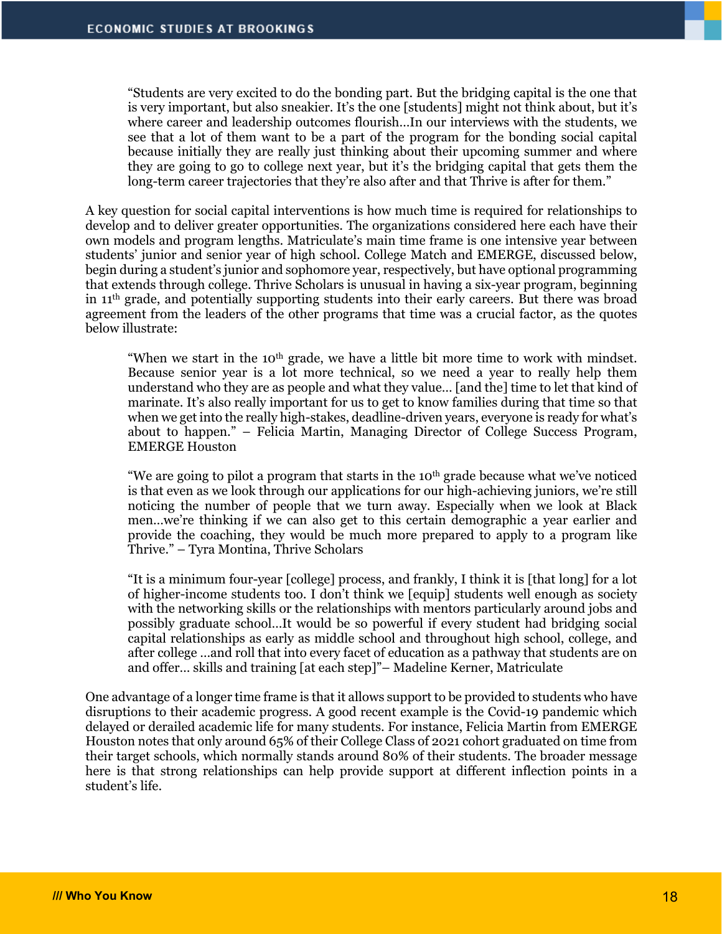"Students are very excited to do the bonding part. But the bridging capital is the one that is very important, but also sneakier. It's the one [students] might not think about, but it's where career and leadership outcomes flourish…In our interviews with the students, we see that a lot of them want to be a part of the program for the bonding social capital because initially they are really just thinking about their upcoming summer and where they are going to go to college next year, but it's the bridging capital that gets them the long-term career trajectories that they're also after and that Thrive is after for them."

A key question for social capital interventions is how much time is required for relationships to develop and to deliver greater opportunities. The organizations considered here each have their own models and program lengths. Matriculate's main time frame is one intensive year between students' junior and senior year of high school. College Match and EMERGE, discussed below, begin during a student's junior and sophomore year, respectively, but have optional programming that extends through college. Thrive Scholars is unusual in having a six-year program, beginning in 11th grade, and potentially supporting students into their early careers. But there was broad agreement from the leaders of the other programs that time was a crucial factor, as the quotes below illustrate:

"When we start in the 10<sup>th</sup> grade, we have a little bit more time to work with mindset. Because senior year is a lot more technical, so we need a year to really help them understand who they are as people and what they value… [and the] time to let that kind of marinate. It's also really important for us to get to know families during that time so that when we get into the really high-stakes, deadline-driven years, everyone is ready for what's about to happen." – Felicia Martin, Managing Director of College Success Program, EMERGE Houston

"We are going to pilot a program that starts in the  $10<sup>th</sup>$  grade because what we've noticed is that even as we look through our applications for our high-achieving juniors, we're still noticing the number of people that we turn away. Especially when we look at Black men…we're thinking if we can also get to this certain demographic a year earlier and provide the coaching, they would be much more prepared to apply to a program like Thrive." – Tyra Montina, Thrive Scholars

"It is a minimum four-year [college] process, and frankly, I think it is [that long] for a lot of higher-income students too. I don't think we [equip] students well enough as society with the networking skills or the relationships with mentors particularly around jobs and possibly graduate school…It would be so powerful if every student had bridging social capital relationships as early as middle school and throughout high school, college, and after college …and roll that into every facet of education as a pathway that students are on and offer… skills and training [at each step]"– Madeline Kerner, Matriculate

One advantage of a longer time frame is that it allows support to be provided to students who have disruptions to their academic progress. A good recent example is the Covid-19 pandemic which delayed or derailed academic life for many students. For instance, Felicia Martin from EMERGE Houston notes that only around 65% of their College Class of 2021 cohort graduated on time from their target schools, which normally stands around 80% of their students. The broader message here is that strong relationships can help provide support at different inflection points in a student's life.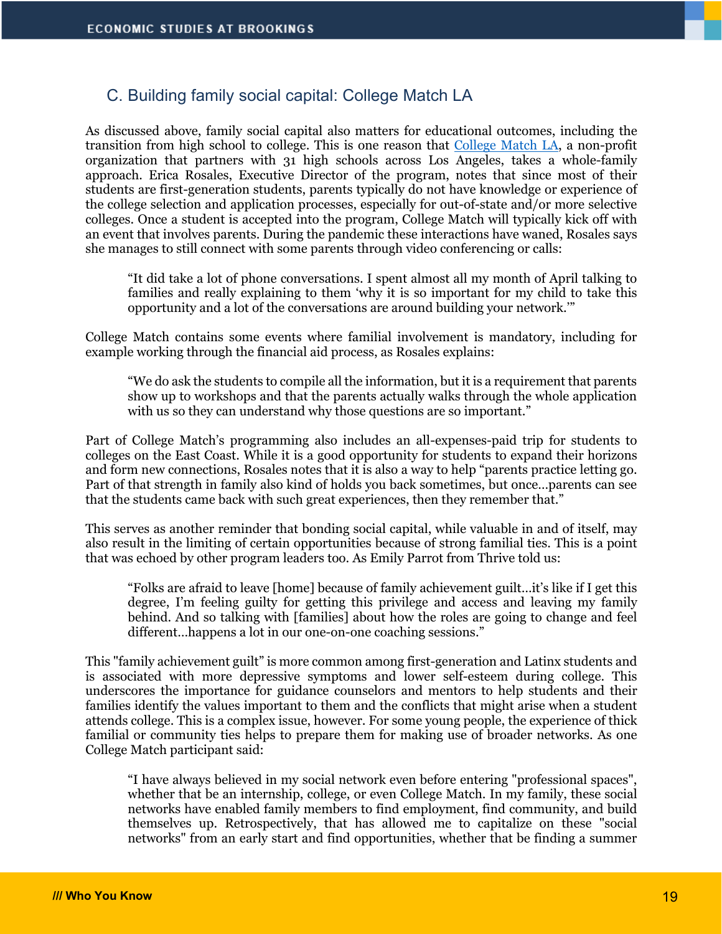#### C. Building family social capital: College Match LA

As discussed above, family social capital also matters for educational outcomes, including the transition from high school to college. This is one reason that College Match LA, a non-profit organization that partners with 31 high schools across Los Angeles, takes a whole-family approach. Erica Rosales, Executive Director of the program, notes that since most of their students are first-generation students, parents typically do not have knowledge or experience of the college selection and application processes, especially for out-of-state and/or more selective colleges. Once a student is accepted into the program, College Match will typically kick off with an event that involves parents. During the pandemic these interactions have waned, Rosales says she manages to still connect with some parents through video conferencing or calls:

"It did take a lot of phone conversations. I spent almost all my month of April talking to families and really explaining to them 'why it is so important for my child to take this opportunity and a lot of the conversations are around building your network.'"

College Match contains some events where familial involvement is mandatory, including for example working through the financial aid process, as Rosales explains:

"We do ask the students to compile all the information, but it is a requirement that parents show up to workshops and that the parents actually walks through the whole application with us so they can understand why those questions are so important."

Part of College Match's programming also includes an all-expenses-paid trip for students to colleges on the East Coast. While it is a good opportunity for students to expand their horizons and form new connections, Rosales notes that it is also a way to help "parents practice letting go. Part of that strength in family also kind of holds you back sometimes, but once…parents can see that the students came back with such great experiences, then they remember that."

This serves as another reminder that bonding social capital, while valuable in and of itself, may also result in the limiting of certain opportunities because of strong familial ties. This is a point that was echoed by other program leaders too. As Emily Parrot from Thrive told us:

"Folks are afraid to leave [home] because of family achievement guilt…it's like if I get this degree, I'm feeling guilty for getting this privilege and access and leaving my family behind. And so talking with [families] about how the roles are going to change and feel different…happens a lot in our one-on-one coaching sessions."

This "family achievement guilt" is more common among first-generation and Latinx students and is associated with more depressive symptoms and lower self-esteem during college. This underscores the importance for guidance counselors and mentors to help students and their families identify the values important to them and the conflicts that might arise when a student attends college. This is a complex issue, however. For some young people, the experience of thick familial or community ties helps to prepare them for making use of broader networks. As one College Match participant said:

"I have always believed in my social network even before entering "professional spaces", whether that be an internship, college, or even College Match. In my family, these social networks have enabled family members to find employment, find community, and build themselves up. Retrospectively, that has allowed me to capitalize on these "social networks" from an early start and find opportunities, whether that be finding a summer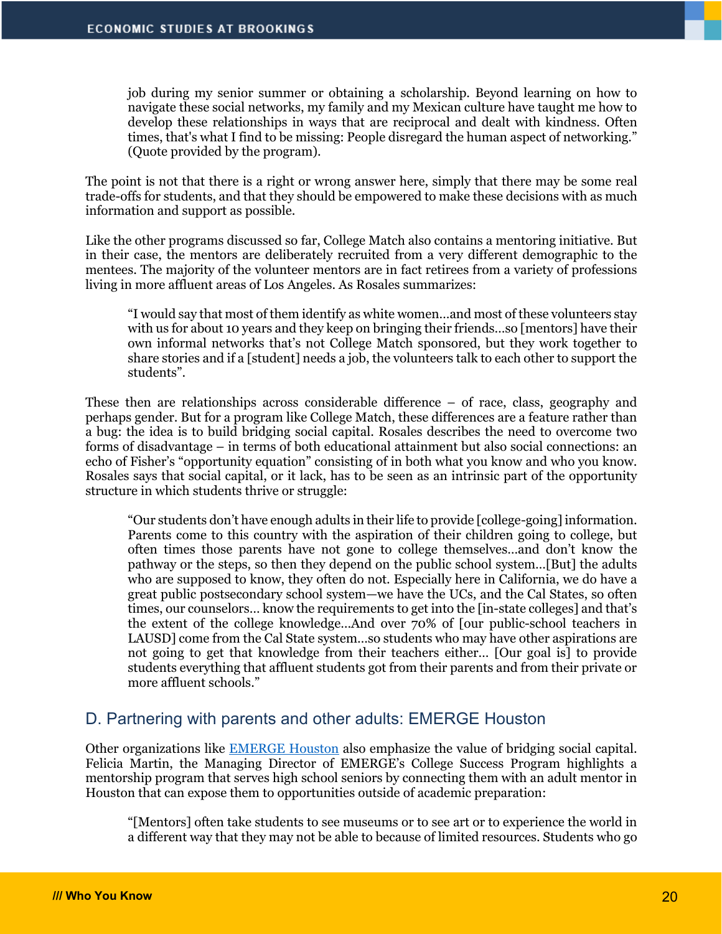job during my senior summer or obtaining a scholarship. Beyond learning on how to navigate these social networks, my family and my Mexican culture have taught me how to develop these relationships in ways that are reciprocal and dealt with kindness. Often times, that's what I find to be missing: People disregard the human aspect of networking." (Quote provided by the program).

The point is not that there is a right or wrong answer here, simply that there may be some real trade-offs for students, and that they should be empowered to make these decisions with as much information and support as possible.

Like the other programs discussed so far, College Match also contains a mentoring initiative. But in their case, the mentors are deliberately recruited from a very different demographic to the mentees. The majority of the volunteer mentors are in fact retirees from a variety of professions living in more affluent areas of Los Angeles. As Rosales summarizes:

"I would say that most of them identify as white women…and most of these volunteers stay with us for about 10 years and they keep on bringing their friends…so [mentors] have their own informal networks that's not College Match sponsored, but they work together to share stories and if a [student] needs a job, the volunteers talk to each other to support the students".

These then are relationships across considerable difference – of race, class, geography and perhaps gender. But for a program like College Match, these differences are a feature rather than a bug: the idea is to build bridging social capital. Rosales describes the need to overcome two forms of disadvantage – in terms of both educational attainment but also social connections: an echo of Fisher's "opportunity equation" consisting of in both what you know and who you know. Rosales says that social capital, or it lack, has to be seen as an intrinsic part of the opportunity structure in which students thrive or struggle:

"Our students don't have enough adults in their life to provide [college-going] information. Parents come to this country with the aspiration of their children going to college, but often times those parents have not gone to college themselves…and don't know the pathway or the steps, so then they depend on the public school system…[But] the adults who are supposed to know, they often do not. Especially here in California, we do have a great public postsecondary school system—we have the UCs, and the Cal States, so often times, our counselors… know the requirements to get into the [in-state colleges] and that's the extent of the college knowledge…And over 70% of [our public-school teachers in LAUSD] come from the Cal State system…so students who may have other aspirations are not going to get that knowledge from their teachers either… [Our goal is] to provide students everything that affluent students got from their parents and from their private or more affluent schools."

#### D. Partnering with parents and other adults: EMERGE Houston

Other organizations like EMERGE Houston also emphasize the value of bridging social capital. Felicia Martin, the Managing Director of EMERGE's College Success Program highlights a mentorship program that serves high school seniors by connecting them with an adult mentor in Houston that can expose them to opportunities outside of academic preparation:

"[Mentors] often take students to see museums or to see art or to experience the world in a different way that they may not be able to because of limited resources. Students who go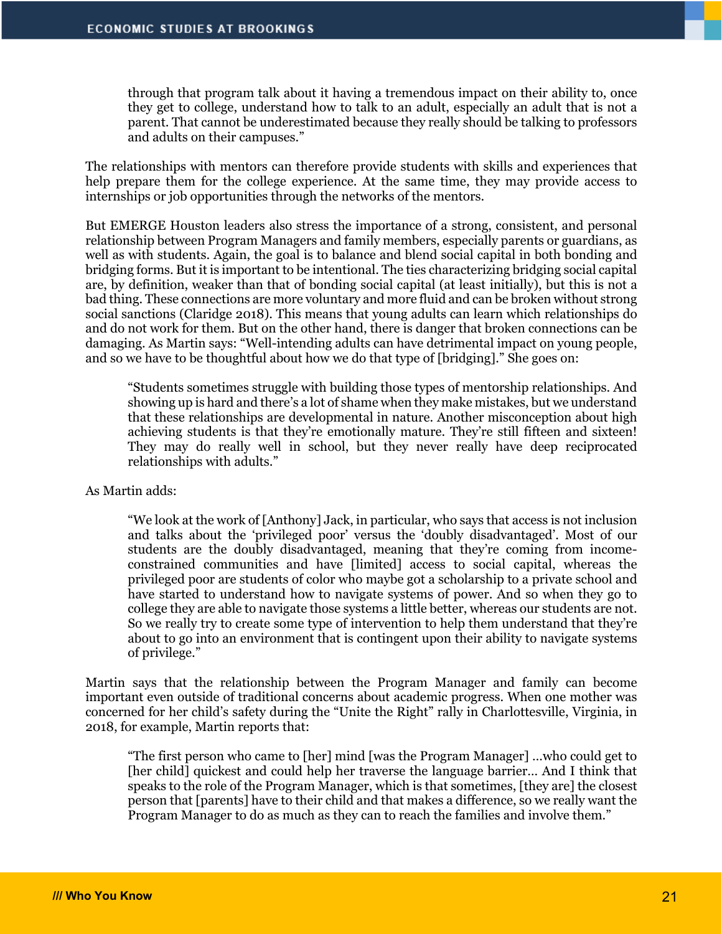through that program talk about it having a tremendous impact on their ability to, once they get to college, understand how to talk to an adult, especially an adult that is not a parent. That cannot be underestimated because they really should be talking to professors and adults on their campuses."

The relationships with mentors can therefore provide students with skills and experiences that help prepare them for the college experience. At the same time, they may provide access to internships or job opportunities through the networks of the mentors.

But EMERGE Houston leaders also stress the importance of a strong, consistent, and personal relationship between Program Managers and family members, especially parents or guardians, as well as with students. Again, the goal is to balance and blend social capital in both bonding and bridging forms. But it is important to be intentional. The ties characterizing bridging social capital are, by definition, weaker than that of bonding social capital (at least initially), but this is not a bad thing. These connections are more voluntary and more fluid and can be broken without strong social sanctions (Claridge 2018). This means that young adults can learn which relationships do and do not work for them. But on the other hand, there is danger that broken connections can be damaging. As Martin says: "Well-intending adults can have detrimental impact on young people, and so we have to be thoughtful about how we do that type of [bridging]." She goes on:

"Students sometimes struggle with building those types of mentorship relationships. And showing up is hard and there's a lot of shame when they make mistakes, but we understand that these relationships are developmental in nature. Another misconception about high achieving students is that they're emotionally mature. They're still fifteen and sixteen! They may do really well in school, but they never really have deep reciprocated relationships with adults."

#### As Martin adds:

"We look at the work of [Anthony] Jack, in particular, who says that access is not inclusion and talks about the 'privileged poor' versus the 'doubly disadvantaged'. Most of our students are the doubly disadvantaged, meaning that they're coming from incomeconstrained communities and have [limited] access to social capital, whereas the privileged poor are students of color who maybe got a scholarship to a private school and have started to understand how to navigate systems of power. And so when they go to college they are able to navigate those systems a little better, whereas our students are not. So we really try to create some type of intervention to help them understand that they're about to go into an environment that is contingent upon their ability to navigate systems of privilege."

Martin says that the relationship between the Program Manager and family can become important even outside of traditional concerns about academic progress. When one mother was concerned for her child's safety during the "Unite the Right" rally in Charlottesville, Virginia, in 2018, for example, Martin reports that:

"The first person who came to [her] mind [was the Program Manager] …who could get to [her child] quickest and could help her traverse the language barrier… And I think that speaks to the role of the Program Manager, which is that sometimes, [they are] the closest person that [parents] have to their child and that makes a difference, so we really want the Program Manager to do as much as they can to reach the families and involve them."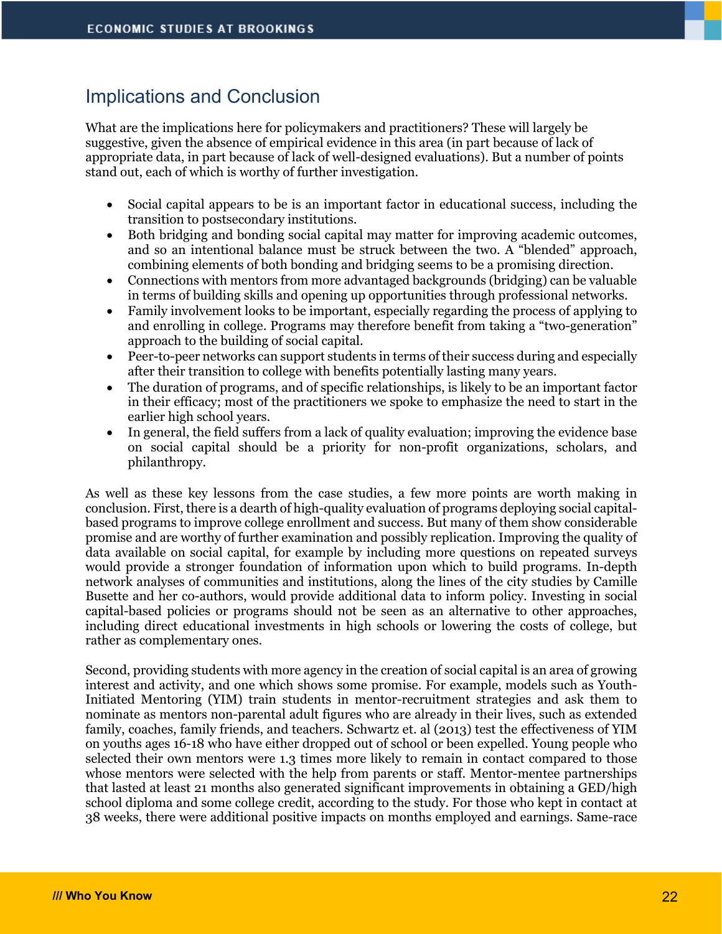# Implications and Conclusion

What are the implications here for policymakers and practitioners? These will largely be suggestive, given the absence of empirical evidence in this area (in part because of lack of appropriate data, in part because of lack of well-designed evaluations). But a number of points stand out, each of which is worthy of further investigation.

- Social capital appears to be is an important factor in educational success, including the transition to postsecondary institutions.
- Both bridging and bonding social capital may matter for improving academic outcomes, and so an intentional balance must be struck between the two. A "blended" approach, combining elements of both bonding and bridging seems to be a promising direction.
- Connections with mentors from more advantaged backgrounds (bridging) can be valuable in terms of building skills and opening up opportunities through professional networks.
- Family involvement looks to be important, especially regarding the process of applying to and enrolling in college. Programs may therefore benefit from taking a "two-generation" approach to the building of social capital.
- Peer-to-peer networks can support students in terms of their success during and especially after their transition to college with benefits potentially lasting many years.
- The duration of programs, and of specific relationships, is likely to be an important factor in their efficacy; most of the practitioners we spoke to emphasize the need to start in the earlier high school years.
- In general, the field suffers from a lack of quality evaluation; improving the evidence base on social capital should be a priority for non-profit organizations, scholars, and philanthropy.

As well as these key lessons from the case studies, a few more points are worth making in conclusion. First, there is a dearth of high-quality evaluation of programs deploying social capitalbased programs to improve college enrollment and success. But many of them show considerable promise and are worthy of further examination and possibly replication. Improving the quality of data available on social capital, for example by including more questions on repeated surveys would provide a stronger foundation of information upon which to build programs. In-depth network analyses of communities and institutions, along the lines of the city studies by Camille Busette and her co-authors, would provide additional data to inform policy. Investing in social capital-based policies or programs should not be seen as an alternative to other approaches, including direct educational investments in high schools or lowering the costs of college, but rather as complementary ones.

Second, providing students with more agency in the creation of social capital is an area of growing interest and activity, and one which shows some promise. For example, models such as Youth-Initiated Mentoring (YIM) train students in mentor-recruitment strategies and ask them to nominate as mentors non-parental adult figures who are already in their lives, such as extended family, coaches, family friends, and teachers. Schwartz et. al (2013) test the effectiveness of YIM on youths ages 16-18 who have either dropped out of school or been expelled. Young people who selected their own mentors were 1.3 times more likely to remain in contact compared to those whose mentors were selected with the help from parents or staff. Mentor-mentee partnerships that lasted at least 21 months also generated significant improvements in obtaining a GED/high school diploma and some college credit, according to the study. For those who kept in contact at 38 weeks, there were additional positive impacts on months employed and earnings. Same-race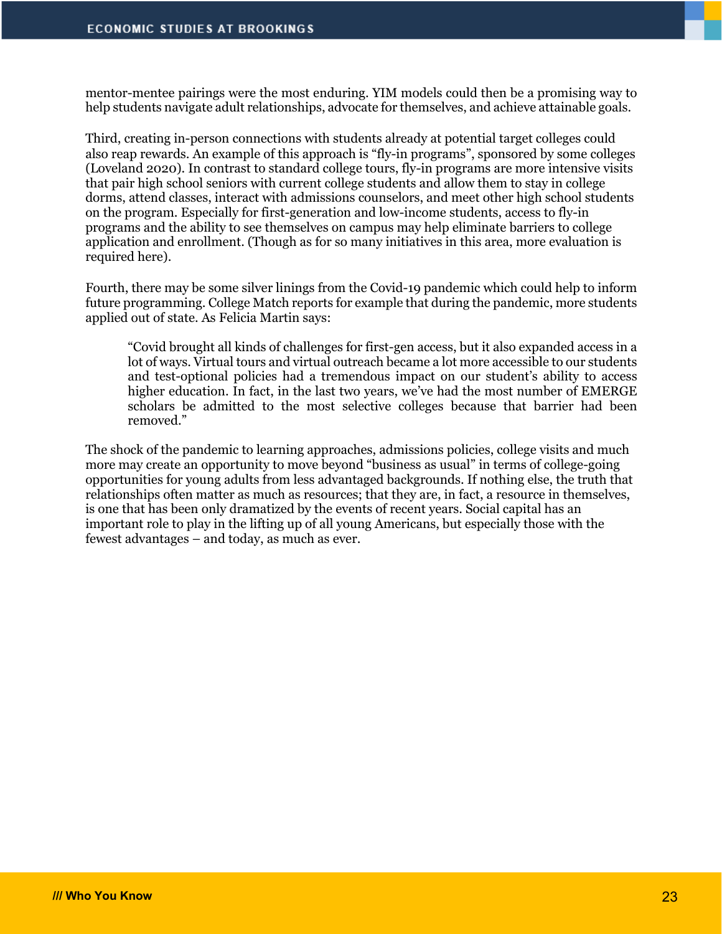mentor-mentee pairings were the most enduring. YIM models could then be a promising way to help students navigate adult relationships, advocate for themselves, and achieve attainable goals.

Third, creating in-person connections with students already at potential target colleges could also reap rewards. An example of this approach is "fly-in programs", sponsored by some colleges (Loveland 2020). In contrast to standard college tours, fly-in programs are more intensive visits that pair high school seniors with current college students and allow them to stay in college dorms, attend classes, interact with admissions counselors, and meet other high school students on the program. Especially for first-generation and low-income students, access to fly-in programs and the ability to see themselves on campus may help eliminate barriers to college application and enrollment. (Though as for so many initiatives in this area, more evaluation is required here).

Fourth, there may be some silver linings from the Covid-19 pandemic which could help to inform future programming. College Match reports for example that during the pandemic, more students applied out of state. As Felicia Martin says:

"Covid brought all kinds of challenges for first-gen access, but it also expanded access in a lot of ways. Virtual tours and virtual outreach became a lot more accessible to our students and test-optional policies had a tremendous impact on our student's ability to access higher education. In fact, in the last two years, we've had the most number of EMERGE scholars be admitted to the most selective colleges because that barrier had been removed."

The shock of the pandemic to learning approaches, admissions policies, college visits and much more may create an opportunity to move beyond "business as usual" in terms of college-going opportunities for young adults from less advantaged backgrounds. If nothing else, the truth that relationships often matter as much as resources; that they are, in fact, a resource in themselves, is one that has been only dramatized by the events of recent years. Social capital has an important role to play in the lifting up of all young Americans, but especially those with the fewest advantages – and today, as much as ever.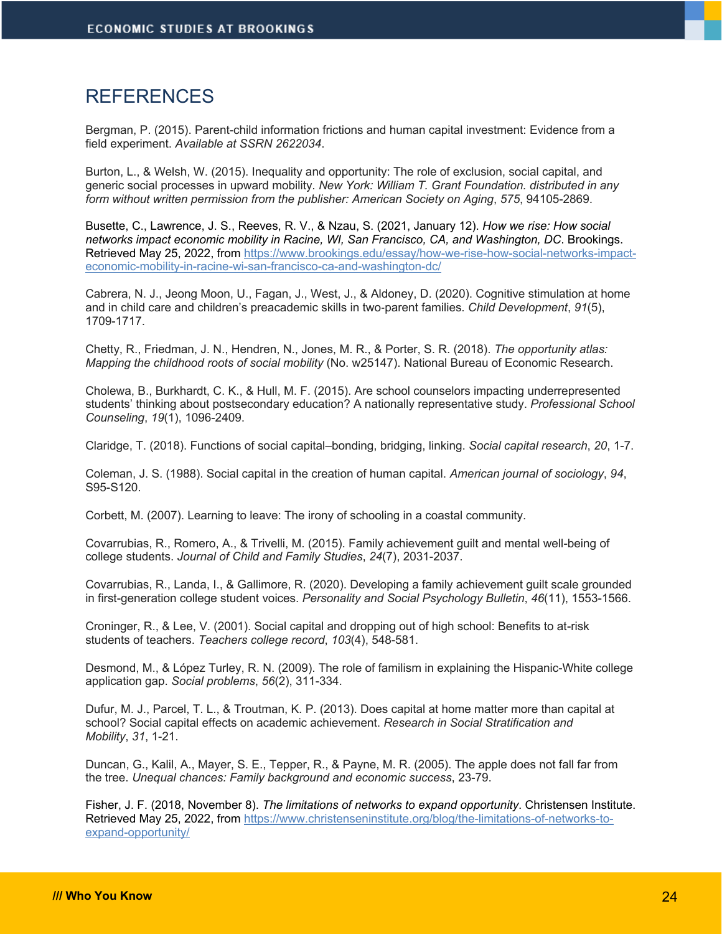# REFERENCES

Bergman, P. (2015). Parent-child information frictions and human capital investment: Evidence from a field experiment. *Available at SSRN 2622034*.

Burton, L., & Welsh, W. (2015). Inequality and opportunity: The role of exclusion, social capital, and generic social processes in upward mobility. *New York: William T. Grant Foundation. distributed in any form without written permission from the publisher: American Society on Aging*, *575*, 94105-2869.

Busette, C., Lawrence, J. S., Reeves, R. V., & Nzau, S. (2021, January 12). *How we rise: How social networks impact economic mobility in Racine, WI, San Francisco, CA, and Washington, DC*. Brookings. Retrieved May 25, 2022, from https://www.brookings.edu/essay/how-we-rise-how-social-networks-impacteconomic-mobility-in-racine-wi-san-francisco-ca-and-washington-dc/

Cabrera, N. J., Jeong Moon, U., Fagan, J., West, J., & Aldoney, D. (2020). Cognitive stimulation at home and in child care and children's preacademic skills in two-parent families. *Child Development*, *91*(5), 1709-1717.

Chetty, R., Friedman, J. N., Hendren, N., Jones, M. R., & Porter, S. R. (2018). *The opportunity atlas: Mapping the childhood roots of social mobility* (No. w25147). National Bureau of Economic Research.

Cholewa, B., Burkhardt, C. K., & Hull, M. F. (2015). Are school counselors impacting underrepresented students' thinking about postsecondary education? A nationally representative study. *Professional School Counseling*, *19*(1), 1096-2409.

Claridge, T. (2018). Functions of social capital–bonding, bridging, linking. *Social capital research*, *20*, 1-7.

Coleman, J. S. (1988). Social capital in the creation of human capital. *American journal of sociology*, *94*, S95-S120.

Corbett, M. (2007). Learning to leave: The irony of schooling in a coastal community.

Covarrubias, R., Romero, A., & Trivelli, M. (2015). Family achievement guilt and mental well-being of college students. *Journal of Child and Family Studies*, *24*(7), 2031-2037.

Covarrubias, R., Landa, I., & Gallimore, R. (2020). Developing a family achievement guilt scale grounded in first-generation college student voices. *Personality and Social Psychology Bulletin*, *46*(11), 1553-1566.

Croninger, R., & Lee, V. (2001). Social capital and dropping out of high school: Benefits to at-risk students of teachers. *Teachers college record*, *103*(4), 548-581.

Desmond, M., & López Turley, R. N. (2009). The role of familism in explaining the Hispanic-White college application gap. *Social problems*, *56*(2), 311-334.

Dufur, M. J., Parcel, T. L., & Troutman, K. P. (2013). Does capital at home matter more than capital at school? Social capital effects on academic achievement. *Research in Social Stratification and Mobility*, *31*, 1-21.

Duncan, G., Kalil, A., Mayer, S. E., Tepper, R., & Payne, M. R. (2005). The apple does not fall far from the tree. *Unequal chances: Family background and economic success*, 23-79.

Fisher, J. F. (2018, November 8). *The limitations of networks to expand opportunity*. Christensen Institute. Retrieved May 25, 2022, from https://www.christenseninstitute.org/blog/the-limitations-of-networks-toexpand-opportunity/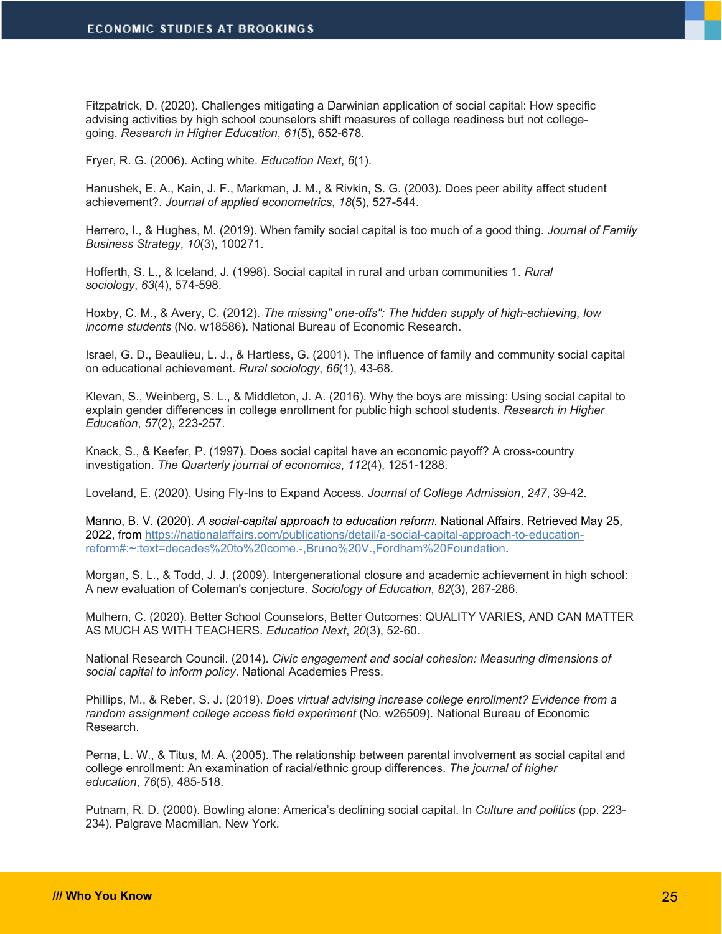Fitzpatrick, D. (2020). Challenges mitigating a Darwinian application of social capital: How specific advising activities by high school counselors shift measures of college readiness but not collegegoing. *Research in Higher Education*, *61*(5), 652-678.

Fryer, R. G. (2006). Acting white. *Education Next*, *6*(1).

Hanushek, E. A., Kain, J. F., Markman, J. M., & Rivkin, S. G. (2003). Does peer ability affect student achievement?. *Journal of applied econometrics*, *18*(5), 527-544.

Herrero, I., & Hughes, M. (2019). When family social capital is too much of a good thing. *Journal of Family Business Strategy*, *10*(3), 100271.

Hofferth, S. L., & Iceland, J. (1998). Social capital in rural and urban communities 1. *Rural sociology*, *63*(4), 574-598.

Hoxby, C. M., & Avery, C. (2012). *The missing" one-offs": The hidden supply of high-achieving, low income students* (No. w18586). National Bureau of Economic Research.

Israel, G. D., Beaulieu, L. J., & Hartless, G. (2001). The influence of family and community social capital on educational achievement. *Rural sociology*, *66*(1), 43-68.

Klevan, S., Weinberg, S. L., & Middleton, J. A. (2016). Why the boys are missing: Using social capital to explain gender differences in college enrollment for public high school students. *Research in Higher Education*, *57*(2), 223-257.

Knack, S., & Keefer, P. (1997). Does social capital have an economic payoff? A cross-country investigation. *The Quarterly journal of economics*, *112*(4), 1251-1288.

Loveland, E. (2020). Using Fly-Ins to Expand Access. *Journal of College Admission*, *247*, 39-42.

Manno, B. V. (2020). *A social-capital approach to education reform*. National Affairs. Retrieved May 25, 2022, from https://nationalaffairs.com/publications/detail/a-social-capital-approach-to-educationreform#:~:text=decades%20to%20come.-,Bruno%20V.,Fordham%20Foundation.

Morgan, S. L., & Todd, J. J. (2009). Intergenerational closure and academic achievement in high school: A new evaluation of Coleman's conjecture. *Sociology of Education*, *82*(3), 267-286.

Mulhern, C. (2020). Better School Counselors, Better Outcomes: QUALITY VARIES, AND CAN MATTER AS MUCH AS WITH TEACHERS. *Education Next*, *20*(3), 52-60.

National Research Council. (2014). *Civic engagement and social cohesion: Measuring dimensions of social capital to inform policy*. National Academies Press.

Phillips, M., & Reber, S. J. (2019). *Does virtual advising increase college enrollment? Evidence from a random assignment college access field experiment* (No. w26509). National Bureau of Economic Research.

Perna, L. W., & Titus, M. A. (2005). The relationship between parental involvement as social capital and college enrollment: An examination of racial/ethnic group differences. *The journal of higher education*, *76*(5), 485-518.

Putnam, R. D. (2000). Bowling alone: America's declining social capital. In *Culture and politics* (pp. 223- 234). Palgrave Macmillan, New York.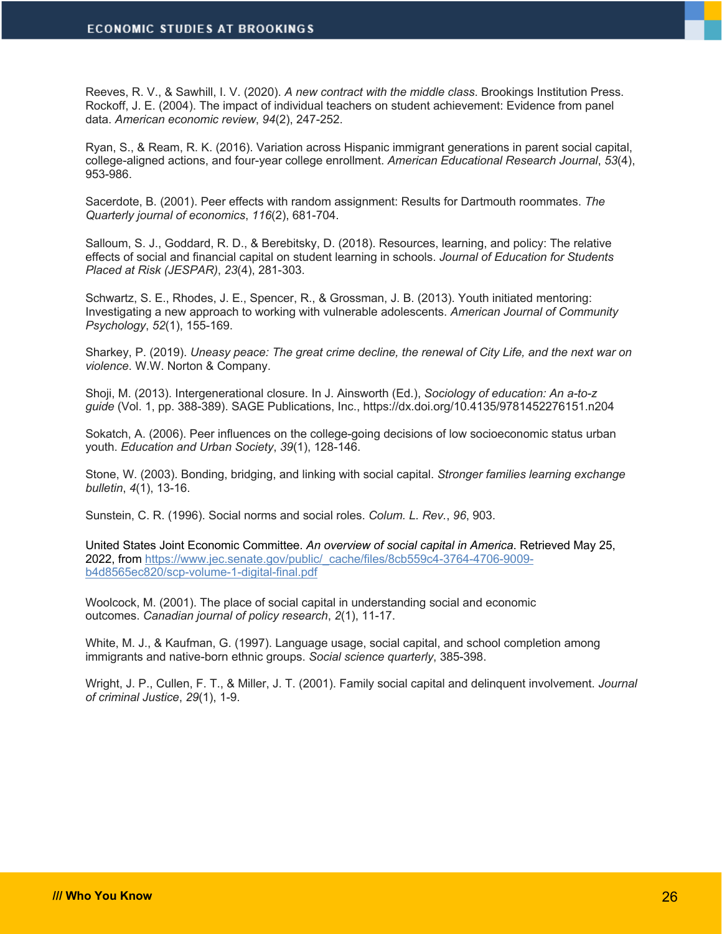Reeves, R. V., & Sawhill, I. V. (2020). *A new contract with the middle class*. Brookings Institution Press. Rockoff, J. E. (2004). The impact of individual teachers on student achievement: Evidence from panel data. *American economic review*, *94*(2), 247-252.

Ryan, S., & Ream, R. K. (2016). Variation across Hispanic immigrant generations in parent social capital, college-aligned actions, and four-year college enrollment. *American Educational Research Journal*, *53*(4), 953-986.

Sacerdote, B. (2001). Peer effects with random assignment: Results for Dartmouth roommates. *The Quarterly journal of economics*, *116*(2), 681-704.

Salloum, S. J., Goddard, R. D., & Berebitsky, D. (2018). Resources, learning, and policy: The relative effects of social and financial capital on student learning in schools. *Journal of Education for Students Placed at Risk (JESPAR)*, *23*(4), 281-303.

Schwartz, S. E., Rhodes, J. E., Spencer, R., & Grossman, J. B. (2013). Youth initiated mentoring: Investigating a new approach to working with vulnerable adolescents. *American Journal of Community Psychology*, *52*(1), 155-169.

Sharkey, P. (2019). *Uneasy peace: The great crime decline, the renewal of City Life, and the next war on violence*. W.W. Norton & Company.

Shoji, M. (2013). Intergenerational closure. In J. Ainsworth (Ed.), *Sociology of education: An a-to-z guide* (Vol. 1, pp. 388-389). SAGE Publications, Inc., https://dx.doi.org/10.4135/9781452276151.n204

Sokatch, A. (2006). Peer influences on the college-going decisions of low socioeconomic status urban youth. *Education and Urban Society*, *39*(1), 128-146.

Stone, W. (2003). Bonding, bridging, and linking with social capital. *Stronger families learning exchange bulletin*, *4*(1), 13-16.

Sunstein, C. R. (1996). Social norms and social roles. *Colum. L. Rev.*, *96*, 903.

United States Joint Economic Committee. *An overview of social capital in America*. Retrieved May 25, 2022, from https://www.jec.senate.gov/public/\_cache/files/8cb559c4-3764-4706-9009 b4d8565ec820/scp-volume-1-digital-final.pdf

Woolcock, M. (2001). The place of social capital in understanding social and economic outcomes. *Canadian journal of policy research*, *2*(1), 11-17.

White, M. J., & Kaufman, G. (1997). Language usage, social capital, and school completion among immigrants and native-born ethnic groups. *Social science quarterly*, 385-398.

Wright, J. P., Cullen, F. T., & Miller, J. T. (2001). Family social capital and delinquent involvement. *Journal of criminal Justice*, *29*(1), 1-9.